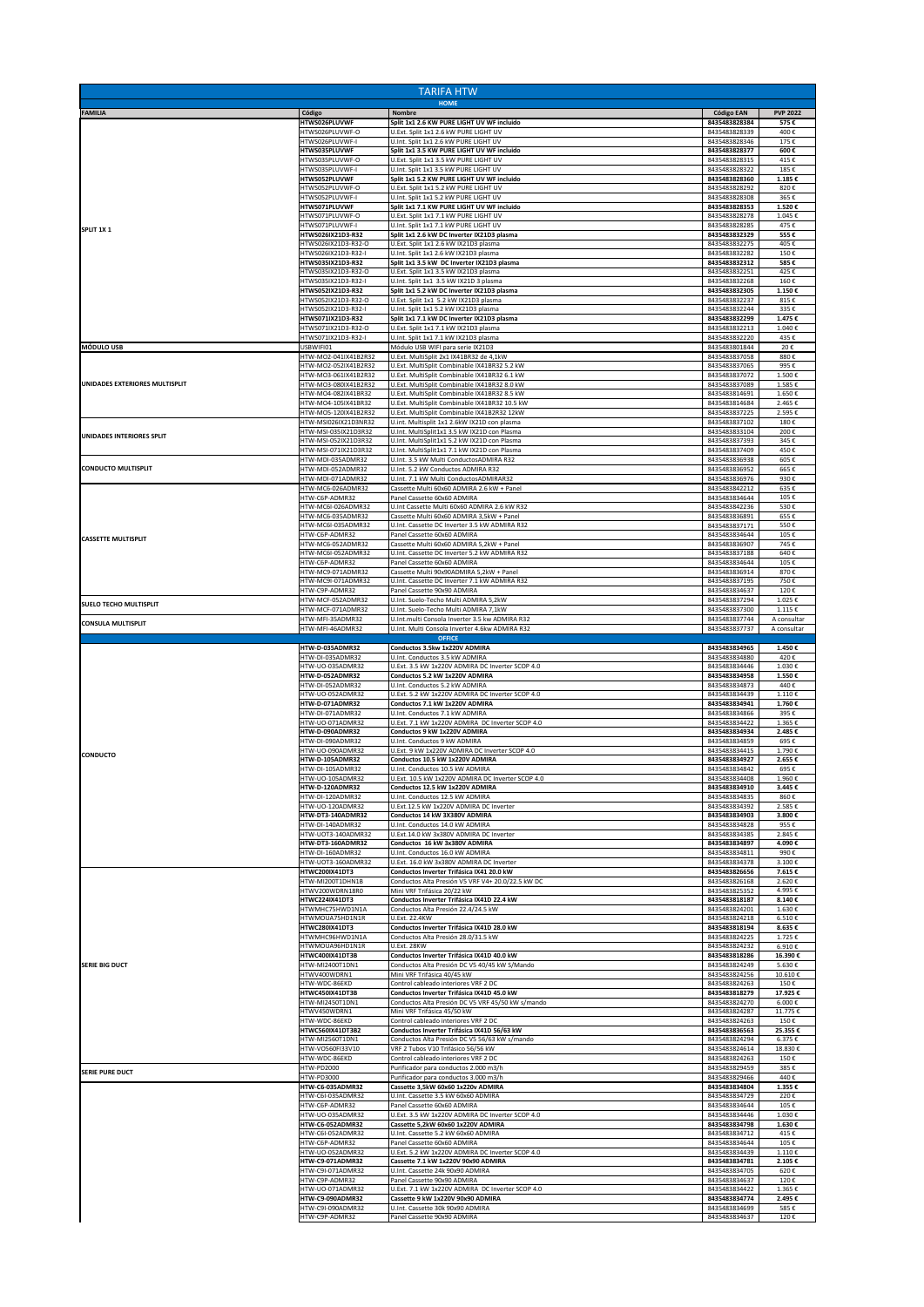| <b>TARIFA HTW</b>              |                                              |                                                                                                  |                                |                            |  |
|--------------------------------|----------------------------------------------|--------------------------------------------------------------------------------------------------|--------------------------------|----------------------------|--|
| <b>FAMILIA</b>                 | Código                                       | <b>HOME</b><br>Nombre                                                                            | <b>Código EAN</b>              | <b>PVP 2022</b>            |  |
|                                | HTWS026PLUVWF                                | Split 1x1 2.6 KW PURE LIGHT UV WF incluido                                                       | 8435483828384                  | 575€                       |  |
| SPLIT 1X1                      | ITWS026PLUVWF-O<br>HTWS026PLUVWF-I           | U.Ext. Split 1x1 2.6 kW PURE LIGHT UV<br>U.Int. Split 1x1 2.6 kW PURE LIGHT UV                   | 8435483828339<br>8435483828346 | 400€<br>175€               |  |
|                                | <b>HTWS035PLUVWF</b><br>HTWS035PLUVWF-O      | Split 1x1 3.5 KW PURE LIGHT UV WF incluido<br>U.Ext. Split 1x1 3.5 kW PURE LIGHT UV              | 8435483828377<br>8435483828315 | 600€<br>415€               |  |
|                                | HTWS035PLUVWF-I<br>HTWS052PLUVWF             | U.Int. Split 1x1 3.5 kW PURE LIGHT UV                                                            | 8435483828322                  | 185€                       |  |
|                                | HTWS052PLUVWF-O                              | Split 1x1 5.2 KW PURE LIGHT UV WF incluido<br>U.Ext. Split 1x1 5.2 kW PURE LIGHT UV              | 8435483828360<br>8435483828292 | 1.185€<br>820€             |  |
|                                | HTWS052PLUVWF-I<br>HTWS071PLUVWF             | U.Int. Split 1x1 5.2 kW PURE LIGHT UV<br>Split 1x1 7.1 KW PURE LIGHT UV WF incluido              | 8435483828308<br>8435483828353 | 365€<br>1.520€             |  |
|                                | HTWS071PLUVWF-O                              | U.Ext. Split 1x1 7.1 kW PURE LIGHT UV                                                            | 8435483828278                  | 1.045€                     |  |
|                                | HTWS071PLUVWF-I<br>HTWS026IX21D3-R32         | U.Int. Split 1x1 7.1 kW PURE LIGHT UV<br>Split 1x1 2.6 kW DC Inverter IX21D3 plasma              | 8435483828285<br>8435483832329 | 475€<br>555€               |  |
|                                | HTWS026IX21D3-R32-O<br>HTWS026IX21D3-R32-I   | U.Ext. Split 1x1 2.6 kW IX21D3 plasma<br>U.Int. Split 1x1 2.6 kW IX21D3 plasma                   | 8435483832275<br>8435483832282 | 405€<br>150€               |  |
|                                | HTWS035IX21D3-R32<br>HTWS035IX21D3-R32-O     | Split 1x1 3.5 kW DC Inverter IX21D3 plasma<br>U.Ext. Split 1x1 3.5 kW IX21D3 plasma              | 8435483832312<br>8435483832251 | 585€<br>425€               |  |
|                                | TWS035IX21D3-R32-I                           | U.Int. Split 1x1 3.5 kW IX21D 3 plasma                                                           | 8435483832268                  | 160€                       |  |
|                                | HTWS052IX21D3-R32<br>1TWS052IX21D3-R32-O     | Split 1x1 5.2 kW DC Inverter IX21D3 plasma<br>U.Ext. Split 1x1 5.2 kW IX21D3 plasma              | 8435483832305<br>8435483832237 | 1.150€<br>815€             |  |
|                                | HTWS052IX21D3-R32-I<br>HTWS071IX21D3-R32     | U.Int. Split 1x1 5.2 kW IX21D3 plasma                                                            | 8435483832244<br>8435483832299 | 335€<br>1.475€             |  |
|                                | HTWS071IX21D3-R32-O                          | Split 1x1 7.1 kW DC Inverter IX21D3 plasma<br>U.Ext. Split 1x1 7.1 kW IX21D3 plasma              | 8435483832213                  | 1.040€                     |  |
| <b>MÓDULO USB</b>              | HTWS071IX21D3-R32-I<br>USBWIFI01             | U.Int. Split 1x1 7.1 kW IX21D3 plasma<br>Módulo USB WIFI para serie IX21D3                       | 8435483832220<br>8435483801844 | 435€<br>20€                |  |
|                                | HTW-MO2-041IX41B2R32<br>HTW-MO2-052IX41B2R32 | U.Ext. MultiSplit 2x1 IX41BR32 de 4,1kW<br>U.Ext. MultiSplit Combinable IX41BR32 5.2 kW          | 8435483837058<br>8435483837065 | 880€<br>995€               |  |
|                                | HTW-MO3-061IX41B2R32                         | U.Ext. MultiSplit Combinable IX41BR32 6.1 kW                                                     | 8435483837072                  | 1.500€                     |  |
| UNIDADES EXTERIORES MULTISPLIT | HTW-MO3-080IX41B2R32<br>HTW-MO4-082IX41BR32  | U.Ext. MultiSplit Combinable IX41BR32 8.0 kW<br>U.Ext. MultiSplit Combinable IX41BR32 8.5 kW     | 8435483837089<br>8435483814691 | 1.585€<br>1.650€           |  |
|                                | HTW-MO4-105IX41BR32<br>HTW-MO5-120IX41B2R32  | U.Ext. MultiSplit Combinable IX41BR32 10.5 kW<br>U.Ext. MultiSplit Combinable IX41B2R32 12kW     | 8435483814684<br>8435483837225 | 2.465€<br>2.595€           |  |
|                                | HTW-MSI026IX21D3NR32                         | U.int. Multisplit 1x1 2.6kW IX21D con plasma                                                     | 8435483837102                  | 180€                       |  |
| UNIDADES INTERIORES SPLIT      | HTW-MSI-035IX21D3R32<br>HTW-MSI-052IX21D3R32 | U.Int. MultiSplit1x1 3.5 kW IX21D con Plasma<br>U.Int. MultiSplit1x1 5.2 kW IX21D con Plasma     | 8435483833104<br>8435483837393 | 200€<br>345€               |  |
|                                | HTW-MSI-071IX21D3R32<br>HTW-MDI-035ADMR32    | U.Int. MultiSplit1x1 7.1 kW IX21D con Plasma<br>U.Int. 3.5 kW Multi ConductosADMIRA R32          | 8435483837409<br>8435483836938 | 450€<br>605€               |  |
| <b>CONDUCTO MULTISPLIT</b>     | HTW-MDI-052ADMR32                            | U.Int. 5.2 kW Conductos ADMIRA R32                                                               | 8435483836952                  | 665€                       |  |
|                                | HTW-MDI-071ADMR32<br>HTW-MC6-026ADMR32       | U.Int. 7.1 kW Multi ConductosADMIRAR32<br>Cassette Multi 60x60 ADMIRA 2.6 kW + Panel             | 8435483836976<br>8435483842212 | 930€<br>635€               |  |
|                                | HTW-C6P-ADMR32<br>HTW-MC6I-026ADMR32         | Panel Cassette 60x60 ADMIRA<br>U.Int Cassette Multi 60x60 ADMIRA 2.6 kW R32                      | 8435483834644<br>8435483842236 | 105€<br>530€               |  |
|                                | HTW-MC6-035ADMR32                            | Cassette Multi 60x60 ADMIRA 3,5kW + Panel                                                        | 8435483836891                  | 655€                       |  |
| <b>CASSETTE MULTISPLIT</b>     | HTW-MC6I-035ADMR32<br>HTW-C6P-ADMR32         | U.Int. Cassette DC Inverter 3.5 kW ADMIRA R32<br>Panel Cassette 60x60 ADMIRA                     | 8435483837171<br>8435483834644 | 550€<br>105€               |  |
|                                | HTW-MC6-052ADMR32<br>HTW-MC6I-052ADMR32      | Cassette Multi 60x60 ADMIRA 5,2kW + Panel<br>U.Int. Cassette DC Inverter 5.2 kW ADMIRA R32       | 8435483836907<br>8435483837188 | 745€<br>640€               |  |
|                                | HTW-C6P-ADMR32                               | Panel Cassette 60x60 ADMIRA                                                                      | 8435483834644                  | 105€                       |  |
|                                | HTW-MC9-071ADMR32<br>HTW-MC9I-071ADMR32      | Cassette Multi 90x90ADMIRA 5,2kW + Panel<br>U.Int. Cassette DC Inverter 7.1 kW ADMIRA R32        | 8435483836914<br>8435483837195 | 870€<br>750€               |  |
|                                | HTW-C9P-ADMR32<br>HTW-MCF-052ADMR32          | Panel Cassette 90x90 ADMIRA<br>U.Int. Suelo-Techo Multi ADMIRA 5,2kW                             | 8435483834637<br>8435483837294 | 120€<br>1.025€             |  |
| SUELO TECHO MULTISPLIT         | HTW-MCF-071ADMR32                            | U.Int. Suelo-Techo Multi ADMIRA 7,1kW                                                            | 8435483837300                  | 1.115f                     |  |
| <b>CONSULA MULTISPLIT</b>      | HTW-MFI-35ADMR32<br>HTW-MFI-46ADMR32         | U.Int.multi Consola Inverter 3.5 kw ADMIRA R32<br>U.Int. Multi Consola Inverter 4.6kw ADMIRA R32 | 8435483837744<br>8435483837737 | A consultar<br>A consultar |  |
|                                | HTW-D-035ADMR32                              | <b>OFFICE</b><br>Conductos 3.5kw 1x220V ADMIRA                                                   | 8435483834965                  | 1.450€                     |  |
|                                | HTW-DI-035ADMR32                             | U.Int. Conductos 3.5 kW ADMIRA                                                                   | 8435483834880                  | 420€                       |  |
|                                | HTW-UO-035ADMR32<br>HTW-D-052ADMR32          | U.Ext. 3.5 kW 1x220V ADMIRA DC Inverter SCOP 4.0<br>Conductos 5.2 kW 1x220V ADMIRA               | 8435483834446<br>8435483834958 | 1.030€<br>1.550€           |  |
|                                | HTW-DI-052ADMR32<br>HTW-UO-052ADMR32         | U.Int. Conductos 5.2 kW ADMIRA<br>U.Ext. 5.2 kW 1x220V ADMIRA DC Inverter SCOP 4.0               | 8435483834873<br>8435483834439 | 440€<br>1.110€             |  |
|                                | HTW-D-071ADMR32                              | Conductos 7.1 kW 1x220V ADMIRA<br>U.Int. Conductos 7.1 kW ADMIRA                                 | 8435483834941                  | 1.760€<br>395€             |  |
|                                | HTW-DI-071ADMR32<br>HTW-UO-071ADMR32         | U.Ext. 7.1 kW 1x220V ADMIRA DC Inverter SCOP 4.0                                                 | 8435483834866<br>8435483834422 | 1.365€                     |  |
|                                | HTW-D-090ADMR32<br>ITW-DI-090ADMR32          | Conductos 9 kW 1x220V ADMIRA<br>U.Int. Conductos 9 kW ADMIRA                                     | 8435483834934<br>8435483834859 | 2.485€<br>695€             |  |
| <b>CONDUCTO</b>                | ITW-UO-090ADMR32<br>HTW-D-105ADMR32          | U.Ext. 9 kW 1x220V ADMIRA DC Inverter SCOP 4.0<br>Conductos 10.5 kW 1x220V ADMIRA                | 8435483834415                  | 1.790€                     |  |
|                                | HTW-DI-105ADMR32                             | U.Int. Conductos 10.5 kW ADMIRA                                                                  | 8435483834927<br>8435483834842 | 2.655€<br>695€             |  |
|                                | ITW-UO-105ADMR32<br>HTW-D-120ADMR32          | J.Ext. 10.5 kW 1x220V ADMIRA DC Inverter SCOP 4.0<br>Conductos 12.5 kW 1x220V ADMIRA             | 8435483834408<br>8435483834910 | 1.960 €<br>3.445€          |  |
|                                | HTW-DI-120ADMR32<br>HTW-UO-120ADMR32         | U.Int. Conductos 12.5 kW ADMIRA<br>U.Ext.12.5 kW 1x220V ADMIRA DC Inverter                       | 8435483834835<br>8435483834392 | 860€<br>2.585€             |  |
|                                | HTW-DT3-140ADMR32                            | Conductos 14 kW 3X380V ADMIRA                                                                    | 8435483834903                  | 3.800€                     |  |
|                                | HTW-DI-140ADMR32<br>HTW-UOT3-140ADMR32       | U.Int. Conductos 14.0 kW ADMIRA<br>U.Ext.14.0 kW 3x380V ADMIRA DC Inverter                       | 8435483834828<br>8435483834385 | 955€<br>2.845€             |  |
|                                | HTW-DT3-160ADMR32<br>HTW-DI-160ADMR32        | Conductos 16 kW 3x380V ADMIRA<br>U.Int. Conductos 16.0 kW ADMIRA                                 | 8435483834897<br>8435483834811 | 4.090€<br>990€             |  |
|                                | HTW-UOT3-160ADMR32                           | U.Ext. 16.0 kW 3x380V ADMIRA DC Inverter                                                         | 8435483834378                  | 3.100€                     |  |
|                                | <b>HTWC200IX41DT3</b><br>HTW-MI200T1DHN1B    | Conductos Inverter Trifásica IX41 20.0 kW<br>Conductos Alta Presión V5 VRF V4+ 20.0/22.5 kW DC   | 8435483826656<br>8435483826168 | 7.615€<br>2.620€           |  |
|                                | HTWV200WDRN18R0<br><b>HTWC224IX41DT3</b>     | Mini VRF Trifásica 20/22 kW<br>Conductos Inverter Trifásica IX41D 22.4 kW                        | 8435483825352<br>8435483818187 | 4.995€<br>8.140€           |  |
|                                | HTWMHC75HWD1N1A                              | Conductos Alta Presión 22.4/24.5 kW                                                              | 8435483824201                  | 1.630€                     |  |
|                                | HTWMOUA75HD1N1R<br><b>HTWC280IX41DT3</b>     | U.Ext. 22.4KW<br>Conductos Inverter Trifásica IX41D 28.0 kW                                      | 8435483824218<br>8435483818194 | 6.510€<br>8.635€           |  |
|                                | HTWMHC96HWD1N1A<br>HTWMOUA96HD1N1R           | Conductos Alta Presión 28.0/31.5 kW<br>U.Ext. 28KW                                               | 8435483824225<br>8435483824232 | 1.725€<br>6.910€           |  |
|                                | HTWC400IX41DT3B                              | Conductos Inverter Trifásica IX41D 40.0 kW                                                       | 8435483818286                  | 16.390€                    |  |
| <b>SERIE BIG DUCT</b>          | HTW-MI2400T1DN1<br>HTWV400WDRN1              | Conductos Alta Presión DC V5 40/45 kW S/Mando<br>Mini VRF Trifásica 40/45 kW                     | 8435483824249<br>8435483824256 | 5.630€<br>10.610€          |  |
|                                | HTW-WDC-86EKD<br>HTWC450IX41DT3B             | Control cableado interiores VRF 2 DC<br>Conductos Inverter Trifásica IX41D 45.0 kW               | 8435483824263<br>8435483818279 | 150€<br>17.925€            |  |
|                                | HTW-MI2450T1DN1                              | Conductos Alta Presión DC V5 VRF 45/50 kW s/mando                                                | 8435483824270                  | 6.000€                     |  |
|                                | HTWV450WDRN1<br>HTW-WDC-86EKD                | Mini VRF Trifásica 45/50 kW<br>Control cableado interiores VRF 2 DC                              | 8435483824287<br>8435483824263 | 11.775€<br>150€            |  |
|                                | HTWC560IX41DT3B2<br>HTW-MI2560T1DN1          | Conductos Inverter Trifásica IX41D 56/63 kW<br>Conductos Alta Presión DC V5 56/63 kW s/mando     | 8435483836563<br>8435483824294 | 25.355€<br>6.375€          |  |
|                                | HTW-VO560FI33V10                             | VRF 2 Tubos V10 Trifásico 56/56 kW                                                               | 8435483824614                  | 18.830€                    |  |
| <b>SERIE PURE DUCT</b>         | HTW-WDC-86EKD<br>HTW-PD2000                  | Control cableado interiores VRF 2 DC<br>Purificador para conductos 2.000 m3/h                    | 8435483824263<br>8435483829459 | 150€<br>385€               |  |
|                                | HTW-PD3000<br>HTW-C6-035ADMR32               | Purificador para conductos 3.000 m3/h<br>Cassette 3,5kW 60x60 1x220v ADMIRA                      | 8435483829466<br>8435483834804 | 440€<br>1.355€             |  |
|                                | HTW-C6I-035ADMR32                            | U.Int. Cassette 3.5 kW 60x60 ADMIRA                                                              | 8435483834729                  | 220€                       |  |
|                                | HTW-C6P-ADMR32<br>HTW-UO-035ADMR32           | Panel Cassette 60x60 ADMIRA<br>U.Ext. 3.5 kW 1x220V ADMIRA DC Inverter SCOP 4.0                  | 8435483834644<br>8435483834446 | 105€<br>1.030€             |  |
|                                | HTW-C6-052ADMR32<br>HTW-C6I-052ADMR32        | Cassette 5,2kW 60x60 1x220V ADMIRA<br>U.Int. Cassette 5.2 kW 60x60 ADMIRA                        | 8435483834798<br>8435483834712 | 1.630€<br>415€             |  |
|                                | HTW-C6P-ADMR32                               | Panel Cassette 60x60 ADMIRA                                                                      | 8435483834644                  | 105€                       |  |
|                                | HTW-UO-052ADMR32<br>HTW-C9-071ADMR32         | U.Ext. 5.2 kW 1x220V ADMIRA DC Inverter SCOP 4.0<br>Cassette 7.1 kW 1x220V 90x90 ADMIRA          | 8435483834439<br>8435483834781 | 1.110€<br>2.105€           |  |
|                                | HTW-C9I-071ADMR32<br>HTW-C9P-ADMR32          | U.Int. Cassette 24k 90x90 ADMIRA<br>Panel Cassette 90x90 ADMIRA                                  | 8435483834705<br>8435483834637 | 620€<br>120€               |  |
|                                | HTW-UO-071ADMR32<br>HTW-C9-090ADMR32         | U.Ext. 7.1 kW 1x220V ADMIRA DC Inverter SCOP 4.0<br>Cassette 9 kW 1x220V 90x90 ADMIRA            | 8435483834422<br>8435483834774 | 1.365€<br>2.495€           |  |
|                                | HTW-C9I-090ADMR32                            | U.Int. Cassette 30k 90x90 ADMIRA                                                                 | 8435483834699                  | 585€                       |  |
|                                | HTW-C9P-ADMR32                               | Panel Cassette 90x90 ADMIRA                                                                      | 8435483834637                  | 120€                       |  |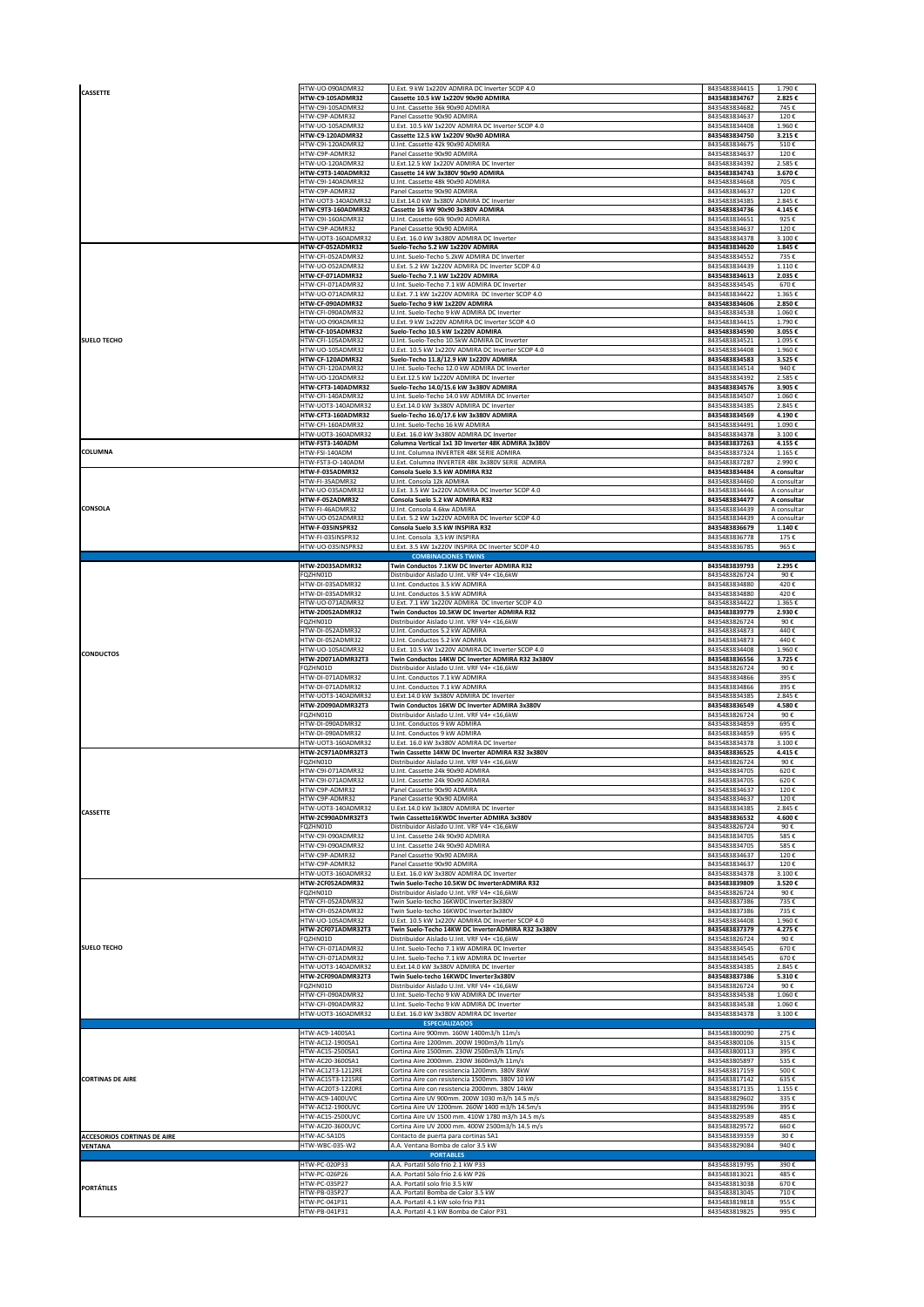| CASSETTE                           | HTW-UO-090ADMR32                      | U.Ext. 9 kW 1x220V ADMIRA DC Inverter SCOP 4.0                                                  | 8435483834415                  | 1.790€                     |
|------------------------------------|---------------------------------------|-------------------------------------------------------------------------------------------------|--------------------------------|----------------------------|
|                                    | HTW-C9-105ADMR32<br>ITW-C9I-105ADMR32 | Cassette 10.5 kW 1x220V 90x90 ADMIRA<br>U.Int. Cassette 36k 90x90 ADMIRA                        | 8435483834767<br>8435483834682 | 2.825€<br>745€             |
|                                    | ITW-C9P-ADMR32<br>ITW-UO-105ADMR32    | Panel Cassette 90x90 ADMIRA<br>U.Ext. 10.5 kW 1x220V ADMIRA DC Inverter SCOP 4.0                | 8435483834637<br>8435483834408 | 120€<br>1.960€             |
|                                    | <b>ITW-C9-120ADMR32</b>               | Cassette 12.5 kW 1x220V 90x90 ADMIRA                                                            | 8435483834750                  | 3.215€                     |
|                                    | ITW-C9I-120ADMR32                     | U.Int. Cassette 42k 90x90 ADMIRA                                                                | 8435483834675                  | 510€                       |
|                                    | ITW-C9P-ADMR32                        | Panel Cassette 90x90 ADMIRA                                                                     | 8435483834637                  | 120€                       |
|                                    | ITW-UO-120ADMR32                      | U.Ext.12.5 kW 1x220V ADMIRA DC Inverter                                                         | 8435483834392                  | 2.585€                     |
|                                    | HTW-C9T3-140ADMR32                    | Cassette 14 kW 3x380V 90x90 ADMIRA                                                              | 8435483834743                  | 3.670€                     |
|                                    | ITW-C9I-140ADMR32                     | U.Int. Cassette 48k 90x90 ADMIRA                                                                | 8435483834668                  | 705€                       |
|                                    | ITW-C9P-ADMR32                        | Panel Cassette 90x90 ADMIRA                                                                     | 8435483834637                  | 120€                       |
|                                    | ITW-UOT3-140ADMR32                    | U.Ext.14.0 kW 3x380V ADMIRA DC Inverter                                                         | 8435483834385                  | 2.845€                     |
|                                    | HTW-C9T3-160ADMR32                    | Cassette 16 kW 90x90 3x380V ADMIRA                                                              | 8435483834736                  | 4.145€                     |
|                                    | ITW-C9I-160ADMR32                     | U.Int. Cassette 60k 90x90 ADMIRA                                                                | 8435483834651                  | 925€                       |
|                                    | ITW-C9P-ADMR32                        | Panel Cassette 90x90 ADMIRA                                                                     | 8435483834637                  | 120€                       |
|                                    | HTW-UOT3-160ADMR32                    | U.Ext. 16.0 kW 3x380V ADMIRA DC Inverter                                                        | 8435483834378                  | 3.100€                     |
|                                    | HTW-CF-052ADMR32                      | Suelo-Techo 5.2 kW 1x220V ADMIRA                                                                | 8435483834620                  | 1.845€                     |
|                                    | ITW-CFI-052ADMR32<br>ITW-UO-052ADMR32 | U.Int. Suelo-Techo 5.2kW ADMIRA DC Inverter<br>U.Ext. 5.2 kW 1x220V ADMIRA DC Inverter SCOP 4.0 | 8435483834552<br>8435483834439 | 735€<br>1.110€             |
|                                    | HTW-CF-071ADMR32                      | Suelo-Techo 7.1 kW 1x220V ADMIRA                                                                | 8435483834613                  | 2.035€                     |
|                                    | ITW-CFI-071ADMR32                     | U.Int. Suelo-Techo 7.1 kW ADMIRA DC Inverter                                                    | 8435483834545                  | 670€                       |
|                                    | ITW-UO-071ADMR32<br>HTW-CF-090ADMR32  | U.Ext. 7.1 kW 1x220V ADMIRA DC Inverter SCOP 4.0<br>Suelo-Techo 9 kW 1x220V ADMIRA              | 8435483834422                  | 1.365€                     |
|                                    | ITW-CFI-090ADMR32                     | U.Int. Suelo-Techo 9 kW ADMIRA DC Inverter                                                      | 8435483834606<br>8435483834538 | 2.850€<br>1.060€           |
|                                    | ITW-UO-090ADMR32<br>HTW-CF-105ADMR32  | U.Ext. 9 kW 1x220V ADMIRA DC Inverter SCOP 4.0<br>Suelo-Techo 10.5 kW 1x220V ADMIRA             | 8435483834415<br>8435483834590 | 1.790€<br>3.055€           |
| <b>SUELO TECHO</b>                 | HTW-CFI-105ADMR32                     | U.Int. Suelo-Techo 10.5kW ADMIRA DC Inverter                                                    | 8435483834521                  | 1.095€                     |
|                                    | HTW-UO-105ADMR32                      | U.Ext. 10.5 kW 1x220V ADMIRA DC Inverter SCOP 4.0                                               | 8435483834408                  | 1.960€                     |
|                                    | HTW-CF-120ADMR32                      | Suelo-Techo 11.8/12.9 kW 1x220V ADMIRA                                                          | 8435483834583                  | 3.525€                     |
|                                    | ITW-CFI-120ADMR32                     | U.Int. Suelo-Techo 12.0 kW ADMIRA DC Inverter                                                   | 8435483834514                  | 940€                       |
|                                    | ITW-UO-120ADMR32                      | U.Ext.12.5 kW 1x220V ADMIRA DC Inverter                                                         | 8435483834392                  | 2.585€                     |
|                                    | HTW-CFT3-140ADMR32                    | Suelo-Techo 14.0/15.6 kW 3x380V ADMIRA                                                          | 8435483834576                  | 3.905€                     |
|                                    | ITW-CFI-140ADMR32                     | U.Int. Suelo-Techo 14.0 kW ADMIRA DC Inverter                                                   | 8435483834507                  | 1.060€                     |
|                                    | ITW-UOT3-140ADMR32                    | U.Ext.14.0 kW 3x380V ADMIRA DC Inverter                                                         | 8435483834385                  | 2.845€                     |
|                                    | HTW-CFT3-160ADMR32                    | Suelo-Techo 16.0/17.6 kW 3x380V ADMIRA                                                          | 8435483834569                  | 4.190€                     |
|                                    | HTW-CFI-160ADMR32                     | U.Int. Suelo-Techo 16 kW ADMIRA                                                                 | 8435483834491                  | 1.090€                     |
|                                    | ITW-UOT3-160ADMR32                    | U.Ext. 16.0 kW 3x380V ADMIRA DC Inverter                                                        | 8435483834378                  | 3.100€                     |
|                                    | HTW-FST3-140ADM                       | Columna Vertical 1x1 3D Inverter 48K ADMIRA 3x380V                                              | 8435483837263                  | 4.155€                     |
| COLUMNA                            | HTW-FSI-140ADM                        | U.Int. Columna INVERTER 48K SERIE ADMIRA                                                        | 8435483837324                  | 1.165€                     |
|                                    | HTW-FST3-O-140ADM                     | U.Ext. Columna INVERTER 48K 3x380V SERIE ADMIRA                                                 | 8435483837287                  | 2.990€                     |
|                                    | HTW-F-035ADMR32                       | Consola Suelo 3.5 kW ADMIRA R32                                                                 | 8435483834484                  | A consultar                |
|                                    | HTW-FI-35ADMR32                       | U.Int. Consola 12k ADMIRA                                                                       | 8435483834460                  | A consultar                |
|                                    | HTW-UO-035ADMR32                      | U.Ext. 3.5 kW 1x220V ADMIRA DC Inverter SCOP 4.0                                                | 8435483834446                  | A consultar                |
| CONSOLA                            | HTW-F-052ADMR32<br>HTW-FI-46ADMR32    | Consola Suelo 5.2 kW ADMIRA R32                                                                 | 8435483834477<br>8435483834439 | A consultar<br>A consultar |
|                                    | HTW-UO-052ADMR32                      | U.Int. Consola 4.6kw ADMIRA<br>U.Ext. 5.2 kW 1x220V ADMIRA DC Inverter SCOP 4.0                 | 8435483834439                  | A consultar                |
|                                    | HTW-F-035INSPR32                      | Consola Suelo 3.5 kW INSPIRA R32                                                                | 8435483836679                  | 1.140€                     |
|                                    | HTW-FI-035INSPR32                     | U.Int. Consola 3,5 kW INSPIRA                                                                   | 8435483836778                  | 175€                       |
|                                    | HTW-UO-035INSPR32                     | U.Ext. 3.5 kW 1x220V INSPIRA DC Inverter SCOP 4.0<br><b>COMBINACIONES TWINS</b>                 | 8435483836785                  | 965€                       |
|                                    | HTW-2D035ADMR32                       | Twin Conductos 7.1KW DC Inverter ADMIRA R32                                                     | 8435483839793                  | 2.295€                     |
|                                    | QZHN01D                               | Distribuidor Aislado U.Int. VRF V4+ <16,6kW                                                     | 8435483826724                  | 90€                        |
|                                    | HTW-DI-035ADMR32                      | U.Int. Conductos 3.5 kW ADMIRA                                                                  | 8435483834880                  | 420€                       |
|                                    | ITW-DI-035ADMR32                      | U.Int. Conductos 3.5 kW ADMIRA                                                                  | 8435483834880                  | 420€                       |
|                                    | ITW-UO-071ADMR32                      | U.Ext. 7.1 kW 1x220V ADMIRA DC Inverter SCOP 4.0                                                | 8435483834422                  | 1.365€                     |
|                                    | HTW-2D052ADMR32                       | Twin Conductos 10.5KW DC Inverter ADMIRA R32                                                    | 8435483839779                  | 2.930€                     |
|                                    | QZHN01D                               | Distribuidor Aislado U.Int. VRF V4+ <16,6kW                                                     | 8435483826724                  | 90€                        |
|                                    | ITW-DI-052ADMR32                      | U.Int. Conductos 5.2 kW ADMIRA                                                                  | 8435483834873                  | 440€                       |
|                                    | ITW-DI-052ADMR32                      | U.Int. Conductos 5.2 kW ADMIRA                                                                  | 8435483834873                  | 440€                       |
|                                    | ITW-UO-105ADMR32                      | U.Ext. 10.5 kW 1x220V ADMIRA DC Inverter SCOP 4.0                                               | 8435483834408                  | 1.960€                     |
| <b>CONDUCTOS</b>                   | <b>HTW-2D071ADMR32T3</b>              | Twin Conductos 14KW DC Inverter ADMIRA R32 3x380V                                               | 8435483836556                  | 3.725€                     |
|                                    | QZHN01D                               | Distribuidor Aislado U.Int. VRF V4+ <16,6kW                                                     | 8435483826724                  | 90€                        |
|                                    | ITW-DI-071ADMR32                      | U.Int. Conductos 7.1 kW ADMIRA                                                                  | 8435483834866                  | 395€                       |
|                                    | ITW-DI-071ADMR32                      | U.Int. Conductos 7.1 kW ADMIRA                                                                  | 8435483834866                  | 395€                       |
|                                    | ITW-UOT3-140ADMR32                    | U.Ext.14.0 kW 3x380V ADMIRA DC Inverter                                                         | 8435483834385                  | 2.845€                     |
|                                    | HTW-2D090ADMR32T3                     | Twin Conductos 16KW DC Inverter ADMIRA 3x380V                                                   | 8435483836549<br>8435483826724 | 4.580€<br>90€              |
|                                    |                                       |                                                                                                 |                                |                            |
|                                    | QZHN01D<br>ITW-DI-090ADMR32           | Distribuidor Aislado U.Int. VRF V4+ <16,6kW<br>U.Int. Conductos 9 kW ADMIRA                     | 8435483834859                  | 695€                       |
|                                    | ITW-DI-090ADMR32                      | U.Int. Conductos 9 kW ADMIRA                                                                    | 8435483834859                  | 695€                       |
|                                    | HTW-UOT3-160ADMR32                    | U.Ext. 16.0 kW 3x380V ADMIRA DC Inverter                                                        | 8435483834378                  | 3.100€                     |
|                                    | <b>HTW-2C971ADMR32T3</b>              | Twin Cassette 14KW DC Inverter ADMIRA R32 3x380V                                                | 8435483836525                  | 4.415€                     |
|                                    | FQZHN01D                              | Distribuidor Aislado U.Int. VRF V4+ <16,6kW                                                     | 8435483826724                  | 90€                        |
|                                    | HTW-C9I-071ADMR32                     | U.Int. Cassette 24k 90x90 ADMIRA                                                                | 8435483834705                  | 620€                       |
|                                    | HTW-C9I-071ADMR32                     | U.Int. Cassette 24k 90x90 ADMIRA                                                                | 8435483834705                  | 620€                       |
|                                    | ITW-C9P-ADMR32                        | Panel Cassette 90x90 ADMIRA                                                                     | 8435483834637                  | 120€                       |
|                                    | HTW-C9P-ADMR32                        | Panel Cassette 90x90 ADMIRA                                                                     | 8435483834637                  | 120€                       |
|                                    | HTW-UOT3-140ADMR32                    | U.Ext.14.0 kW 3x380V ADMIRA DC Inverter                                                         | 8435483834385                  | 2.845€                     |
| CASSETTE                           | HTW-2C990ADMR32T3                     | Twin Cassette16KWDC Inverter ADMIRA 3x380V                                                      | 8435483836532                  | 4.600€                     |
|                                    | QZHN01D                               | Distribuidor Aislado U.Int. VRF V4+ <16,6kW                                                     | 8435483826724                  | 90€                        |
|                                    | HTW-C9I-090ADMR32                     | U.Int. Cassette 24k 90x90 ADMIRA                                                                | 8435483834705                  | 585€                       |
|                                    | HTW-C9I-090ADMR32                     | U.Int. Cassette 24k 90x90 ADMIRA                                                                | 8435483834705                  | 585€                       |
|                                    | ITW-C9P-ADMR32                        | Panel Cassette 90x90 ADMIRA                                                                     | 8435483834637                  | 120€                       |
|                                    | ITW-C9P-ADMR32                        | Panel Cassette 90x90 ADMIRA                                                                     | 8435483834637                  | 120€                       |
|                                    | ITW-UOT3-160ADMR32                    | U.Ext. 16.0 kW 3x380V ADMIRA DC Inverter                                                        | 8435483834378                  | 3.100€                     |
|                                    | HTW-2CF052ADMR32                      | Twin Suelo-Techo 10.5KW DC InverterADMIRA R32                                                   | 8435483839809                  | 3.520€                     |
|                                    | FQZHN01D                              | Distribuidor Aislado U.Int. VRF V4+ <16,6kW                                                     | 8435483826724                  | 90€                        |
|                                    | HTW-CFI-052ADMR32                     | Twin Suelo-techo 16KWDC Inverter3x380V                                                          | 8435483837386                  | 735€                       |
|                                    | HTW-CFI-052ADMR32                     | Twin Suelo-techo 16KWDC Inverter3x380V                                                          | 8435483837386                  | 735€                       |
|                                    | ITW-UO-105ADMR32                      | U.Ext. 10.5 kW 1x220V ADMIRA DC Inverter SCOP 4.0                                               | 8435483834408                  | 1.960€                     |
|                                    | HTW-2CF071ADMR32T3                    | Twin Suelo-Techo 14KW DC InverterADMIRA R32 3x380V                                              | 8435483837379                  | 4.275€                     |
| <b>SUELO TECHO</b>                 | QZHN01D                               | Distribuidor Aislado U.Int. VRF V4+ <16,6kW                                                     | 8435483826724                  | 90€                        |
|                                    | ITW-CFI-071ADMR32                     | U.Int. Suelo-Techo 7.1 kW ADMIRA DC Inverter                                                    | 8435483834545                  | 670€                       |
|                                    | ITW-CFI-071ADMR32                     | U.Int. Suelo-Techo 7.1 kW ADMIRA DC Inverter                                                    | 8435483834545                  | 670€                       |
|                                    | ITW-UOT3-140ADMR32                    | U.Ext.14.0 kW 3x380V ADMIRA DC Inverter                                                         | 8435483834385                  | 2.845€                     |
|                                    | HTW-2CF090ADMR32T3                    | Twin Suelo-techo 16KWDC Inverter3x380V                                                          | 8435483837386                  | 5.310€                     |
|                                    | QZHN01D                               | Distribuidor Aislado U.Int. VRF V4+ <16,6kW                                                     | 8435483826724                  | 90€                        |
|                                    | HTW-CFI-090ADMR32                     | U.Int. Suelo-Techo 9 kW ADMIRA DC Inverter                                                      | 8435483834538                  | 1.060€                     |
|                                    | HTW-CFI-090ADMR32                     | U.Int. Suelo-Techo 9 kW ADMIRA DC Inverter                                                      | 8435483834538                  | 1.060€                     |
|                                    | ITW-UOT3-160ADMR32                    | U.Ext. 16.0 kW 3x380V ADMIRA DC Inverter                                                        | 8435483834378                  | 3.100€                     |
|                                    | HTW-AC9-1400SA1                       | <b>ESPECIALIZADOS</b><br>Cortina Aire 900mm. 160W 1400m3/h 11m/s                                | 8435483800090                  | 275€                       |
|                                    | ITW-AC12-1900SA1                      | Cortina Aire 1200mm. 200W 1900m3/h 11m/s                                                        | 8435483800106                  | 315€                       |
|                                    | ITW-AC15-2500SA1                      | Cortina Aire 1500mm. 230W 2500m3/h 11m/s                                                        | 8435483800113                  | 395€                       |
|                                    | ITW-AC20-3600SA1                      | Cortina Aire 2000mm. 230W 3600m3/h 11m/s                                                        | 8435483805897                  | 535€                       |
| <b>CORTINAS DE AIRE</b>            | ITW-AC12T3-1212RE                     | Cortina Aire con resistencia 1200mm. 380V 8kW                                                   | 8435483817159                  | 500€                       |
|                                    | ITW-AC15T3-1215RE                     | Cortina Aire con resistencia 1500mm. 380V 10 kW                                                 | 8435483817142                  | 635€                       |
|                                    | ITW-AC20T3-1220RE                     | Cortina Aire con resistencia 2000mm. 380V 14kW                                                  | 8435483817135                  | 1.155€                     |
|                                    | ITW-AC9-1400UVC                       | Cortina Aire UV 900mm. 200W 1030 m3/h 14.5 m/s                                                  | 8435483829602                  | 335€                       |
|                                    | ITW-AC12-1900UVC                      | Cortina Aire UV 1200mm. 260W 1400 m3/h 14.5m/s                                                  | 8435483829596                  | 395€                       |
|                                    | <b>ITW-AC15-2500UVC</b>               | Cortina Aire UV 1500 mm. 410W 1780 m3/h 14.5 m/s                                                | 8435483829589                  | 485€                       |
|                                    | ITW-AC20-3600UVC                      | Cortina Aire UV 2000 mm. 400W 2500m3/h 14.5 m/s                                                 | 8435483829572                  | 660€                       |
| <b>ACCESORIOS CORTINAS DE AIRE</b> | HTW-AC-SA1DS                          | Contacto de puerta para cortinas SA1                                                            | 8435483839359                  | 30€                        |
| <b>VENTANA</b>                     | HTW-WBC-035-W2                        | A.A. Ventana Bomba de calor 3.5 kW<br><b>PORTABLES</b>                                          | 8435483829084                  | 940€                       |
|                                    | HTW-PC-020P33                         | A.A. Portatil Sólo frío 2.1 kW P33                                                              | 8435483819795                  | 390€                       |
|                                    | HTW-PC-026P26                         | A.A. Portatil Sólo frío 2.6 kW P26                                                              | 8435483813021                  | 485€                       |
| <b>PORTÁTILES</b>                  | HTW-PC-035P27                         | A.A. Portatil solo frío 3.5 kW                                                                  | 8435483813038                  | 670€                       |
|                                    | ITW-PB-035P27                         | A.A. Portatil Bomba de Calor 3.5 kW                                                             | 8435483813045                  | 710€                       |
|                                    | HTW-PC-041P31                         | A.A. Portatil 4.1 kW solo frio P31                                                              | 8435483819818                  | 955€                       |
|                                    | TW-PB-041P31                          | A.A. Portatil 4.1 kW Bomba de Calor P31                                                         | 8435483819825                  | 995€                       |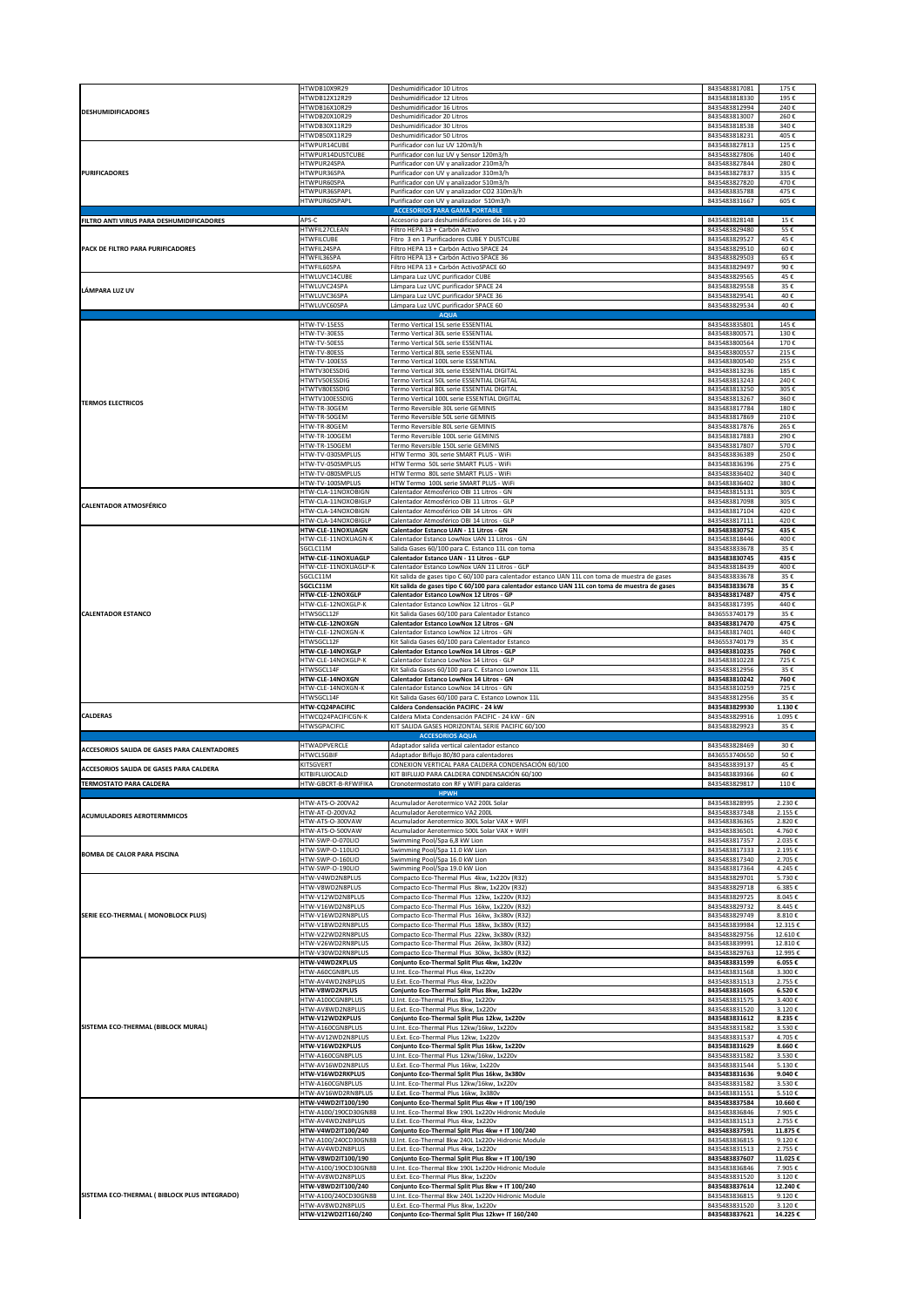|                                               | HTWDB10X9R29<br>HTWDB12X12R29                   | Deshumidificador 10 Litros<br>Deshumidificador 12 Litros                                                                                                                                         | 8435483817081<br>8435483818330 | 175€<br>195€       |
|-----------------------------------------------|-------------------------------------------------|--------------------------------------------------------------------------------------------------------------------------------------------------------------------------------------------------|--------------------------------|--------------------|
| DESHUMIDIFICADORES                            | HTWDB16X10R29                                   | Deshumidificador 16 Litros                                                                                                                                                                       | 8435483812994                  | 240€               |
|                                               | HTWDB20X10R29<br>HTWDB30X11R29                  | Deshumidificador 20 Litros<br>Deshumidificador 30 Litros                                                                                                                                         | 8435483813007<br>8435483818538 | 260€<br>340€       |
|                                               | HTWDB50X11R29                                   | Deshumidificador 50 Litros                                                                                                                                                                       | 8435483818231                  | 405€               |
|                                               | ITWPUR14CUBE<br>HTWPUR14DUSTCUBE                | Purificador con luz UV 120m3/h<br>Purificador con luz UV y Sensor 120m3/h                                                                                                                        | 8435483827813<br>8435483827806 | 125€<br>140€       |
|                                               | ITWPUR24SPA                                     | Purificador con UV y analizador 210m3/h                                                                                                                                                          | 8435483827844                  | 280€               |
| <b>PURIFICADORES</b>                          | <b>ITWPUR36SPA</b><br><b>ITWPUR60SPA</b>        | Purificador con UV y analizador 310m3/h                                                                                                                                                          | 8435483827837                  | 335€<br>470€       |
|                                               | ITWPUR36SPAPL                                   | Purificador con UV y analizador 510m3/h<br>Purificador con UV y analizador CO2 310m3/h                                                                                                           | 8435483827820<br>8435483835788 | 475€               |
|                                               | HTWPUR60SPAPL                                   | Purificador con UV y analizador 510m3/h                                                                                                                                                          | 8435483831667                  | 605€               |
| FILTRO ANTI VIRUS PARA DESHUMIDIFICADORES     | APS-C                                           | <b>ACCESORIOS PARA GAMA PORTABLE</b><br>Accesorio para deshumidificadores de 16L y 20                                                                                                            | 8435483828148                  | 15€                |
|                                               | HTWFIL27CLEAN                                   | Filtro HEPA 13 + Carbón Activo                                                                                                                                                                   | 8435483829480                  | 55€                |
| PACK DE FILTRO PARA PURIFICADORES             | <b>HTWFILCUBE</b><br>HTWFIL24SPA                | Fitro 3 en 1 Purificadores CUBE Y DUSTCUBE<br>Filtro HEPA 13 + Carbón Activo SPACE 24                                                                                                            | 8435483829527<br>8435483829510 | 45€<br>60€         |
|                                               | HTWFIL36SPA                                     | Filtro HEPA 13 + Carbón Activo SPACE 36                                                                                                                                                          | 8435483829503                  | 65€                |
|                                               | HTWFIL60SPA<br>HTWLUVC14CUBE                    | Filtro HEPA 13 + Carbón ActivoSPACE 60<br>Lámpara Luz UVC purificador CUBE                                                                                                                       | 8435483829497<br>8435483829565 | 90€<br>45€         |
| <b>LÁMPARA LUZ UV</b>                         | HTWLUVC24SPA                                    | Lámpara Luz UVC purificador SPACE 24                                                                                                                                                             | 8435483829558                  | 35€                |
|                                               | HTWLUVC36SPA                                    | Lámpara Luz UVC purificador SPACE 36                                                                                                                                                             | 8435483829541                  | 40€                |
|                                               | HTWLUVC60SPA                                    | Lámpara Luz UVC purificador SPACE 60<br><b>AQUA</b>                                                                                                                                              | 8435483829534                  | 40€                |
|                                               | HTW-TV-15ESS                                    | Termo Vertical 15L serie ESSENTIAL                                                                                                                                                               | 8435483835801                  | 145€               |
|                                               | HTW-TV-30ESS<br>HTW-TV-50ESS                    | Termo Vertical 30L serie ESSENTIAL<br>Termo Vertical 50L serie ESSENTIAL                                                                                                                         | 8435483800571<br>8435483800564 | 130€<br>170€       |
|                                               | HTW-TV-80ESS                                    | Termo Vertical 80L serie ESSENTIAL                                                                                                                                                               | 8435483800557                  | 215€               |
|                                               | HTW-TV-100ESS<br><b>ITWTV30ESSDIG</b>           | Termo Vertical 100L serie ESSENTIAL<br>Termo Vertical 30L serie ESSENTIAL DIGITAL                                                                                                                | 8435483800540<br>8435483813236 | 255€<br>185€       |
|                                               | <b>ITWTV50ESSDIG</b>                            | Termo Vertical 50L serie ESSENTIAL DIGITAL                                                                                                                                                       | 8435483813243                  | 240€               |
|                                               | <b>ITWTV80ESSDIG</b>                            | Termo Vertical 80L serie ESSENTIAL DIGITAL                                                                                                                                                       | 8435483813250                  | 305€               |
| <b>TERMOS ELECTRICOS</b>                      | HTWTV100ESSDIG<br>ITW-TR-30GEM                  | Termo Vertical 100L serie ESSENTIAL DIGITAL<br>Termo Reversible 30L serie GEMINIS                                                                                                                | 8435483813267<br>8435483817784 | 360€<br>180€       |
|                                               | ITW-TR-50GEM                                    | Termo Reversible 50L serie GEMINIS                                                                                                                                                               | 8435483817869                  | 210€               |
|                                               | ITW-TR-80GEM<br>ITW-TR-100GEM                   | Termo Reversible 80L serie GEMINIS<br>Termo Reversible 100L serie GEMINIS                                                                                                                        | 8435483817876<br>8435483817883 | 265€<br>290€       |
|                                               | ITW-TR-150GEM                                   | Termo Reversible 150L serie GEMINIS                                                                                                                                                              | 8435483817807                  | 570€               |
|                                               | HTW-TV-030SMPLUS<br>HTW-TV-050SMPLUS            | HTW Termo 30L serie SMART PLUS - WiFi<br>HTW Termo 50L serie SMART PLUS - WiFi                                                                                                                   | 8435483836389<br>8435483836396 | 250€<br>275€       |
|                                               | HTW-TV-080SMPLUS                                | HTW Termo 80L serie SMART PLUS - WiFi                                                                                                                                                            | 8435483836402                  | 340€               |
|                                               | HTW-TV-100SMPLUS<br>HTW-CLA-11NOXOBIGN          | HTW Termo 100L serie SMART PLUS - WiFi<br>Calentador Atmosférico OBI 11 Litros - GN                                                                                                              | 8435483836402<br>8435483815131 | 380€<br>305€       |
| <b>CALENTADOR ATMOSFÉRICO</b>                 | HTW-CLA-11NOXOBIGLP                             | Calentador Atmosférico OBI 11 Litros - GLP                                                                                                                                                       | 8435483817098                  | 305€               |
|                                               | HTW-CLA-14NOXOBIGN<br>HTW-CLA-14NOXOBIGLP       | Calentador Atmosférico OBI 14 Litros - GN<br>Calentador Atmosférico OBI 14 Litros - GLP                                                                                                          | 8435483817104<br>8435483817111 | 420€<br>420€       |
|                                               | HTW-CLE-11NOXUAGN                               | Calentador Estanco UAN - 11 Litros - GN                                                                                                                                                          | 8435483830752                  | 435€               |
|                                               | HTW-CLE-11NOXUAGN-K                             | Calentador Estanco LowNox UAN 11 Litros - GN                                                                                                                                                     | 8435483818446                  | 400€               |
|                                               | SGCLC11M<br>HTW-CLE-11NOXUAGLP                  | Salida Gases 60/100 para C. Estanco 11L con toma<br>Calentador Estanco UAN - 11 Litros - GLP                                                                                                     | 8435483833678<br>8435483830745 | 35€<br>435€        |
|                                               | HTW-CLE-11NOXUAGLP-K                            | Calentador Estanco LowNox UAN 11 Litros - GLP                                                                                                                                                    | 8435483818439                  | 400€               |
|                                               | SGCLC11M<br>SGCLC11M                            | Kit salida de gases tipo C 60/100 para calentador estanco UAN 11L con toma de muestra de gases<br>Kit salida de gases tipo C 60/100 para calentador estanco UAN 11L con toma de muestra de gases | 8435483833678<br>8435483833678 | 35€<br>35€         |
|                                               | <b>HTW-CLE-12NOXGLP</b>                         | Calentador Estanco LowNox 12 Litros - GP                                                                                                                                                         | 8435483817487                  | 475€               |
| <b>CALENTADOR ESTANCO</b>                     | HTW-CLE-12NOXGLP-K<br>HTWSGCL12F                | Calentador Estanco LowNox 12 Litros - GLP<br>Kit Salida Gases 60/100 para Calentador Estanco                                                                                                     | 8435483817395<br>8436553740179 | 440€<br>35€        |
|                                               | HTW-CLE-12NOXGN                                 | Calentador Estanco LowNox 12 Litros - GN                                                                                                                                                         | 8435483817470                  | 475€               |
|                                               | HTW-CLE-12NOXGN-K                               | Calentador Estanco LowNox 12 Litros - GN                                                                                                                                                         | 8435483817401                  | 440€               |
|                                               | HTWSGCL12F                                      | Kit Salida Gases 60/100 para Calentador Estanco                                                                                                                                                  | 8436553740179                  | 35€                |
|                                               |                                                 |                                                                                                                                                                                                  |                                |                    |
|                                               | HTW-CLE-14NOXGLP<br>HTW-CLE-14NOXGLP-K          | Calentador Estanco LowNox 14 Litros - GLP<br>Calentador Estanco LowNox 14 Litros - GLP                                                                                                           | 8435483810235<br>8435483810228 | 760€<br>725€       |
|                                               | HTWSGCL14F                                      | Kit Salida Gases 60/100 para C. Estanco Lownox 11L                                                                                                                                               | 8435483812956                  | 35€                |
|                                               | HTW-CLE-14NOXGN<br>HTW-CLE-14NOXGN-K            | Calentador Estanco LowNox 14 Litros - GN<br>Calentador Estanco LowNox 14 Litros - GN                                                                                                             | 8435483810242<br>8435483810259 | 760€<br>725€       |
|                                               | HTWSGCL14F                                      | Kit Salida Gases 60/100 para C. Estanco Lownox 11L                                                                                                                                               | 8435483812956                  | 35€                |
| CALDERAS                                      | HTW-CQ24PACIFIC<br>HTWCQ24PACIFICGN-K           | Caldera Condensación PACIFIC - 24 kW                                                                                                                                                             | 8435483829930<br>8435483829916 | 1.130€<br>1.095€   |
|                                               | HTWSGPACIFIC                                    | Caldera Mixta Condensación PACIFIC - 24 kW - GN<br>KIT SALIDA GASES HORIZONTAL SERIE PACIFIC 60/100                                                                                              | 8435483829923                  | 35€                |
|                                               |                                                 | <b>ACCESORIOS AQUA</b>                                                                                                                                                                           |                                |                    |
| ACCESORIOS SALIDA DE GASES PARA CALENTADORES  | HTWADPVERCLE<br><b>HTWCLSGBIF</b>               | Adaptador salida vertical calentador estanco<br>Adaptador Biflujo 80/80 para calentadores                                                                                                        | 8435483828469<br>8436553740650 | 30€<br>50€         |
| ACCESORIOS SALIDA DE GASES PARA CALDERA       | KITSGVERT                                       | CONEXION VERTICAL PARA CALDERA CONDENSACIÓN 60/100                                                                                                                                               | 8435483839137                  | 45€                |
| TERMOSTATO PARA CALDERA                       | KITBIFLUJOCALD<br>HTW-GBCRT-B-RFWIFIKA          | KIT BIFLUJO PARA CALDERA CONDENSACIÓN 60/100<br>Cronotermostato con RF y WIFI para calderas                                                                                                      | 8435483839366<br>8435483829817 | 60€<br>110€        |
|                                               |                                                 | <b>HPWH</b>                                                                                                                                                                                      |                                |                    |
|                                               | HTW-ATS-O-200VA2                                | Acumulador Aerotermico VA2 200L Solar                                                                                                                                                            | 8435483828995                  | 2.230€             |
| <b>ACUMULADORES AEROTERMMICOS</b>             | HTW-AT-O-200VA2<br>HTW-ATS-O-300VAW             | Acumulador Aerotermico VA2 200L<br>Acumulador Aerotermico 300L Solar VAX + WIFI                                                                                                                  | 8435483837348<br>8435483836365 | 2.155€<br>2.820€   |
|                                               | HTW-ATS-O-500VAW                                | Acumulador Aerotermico 500L Solar VAX + WIFI                                                                                                                                                     | 8435483836501                  | 4.760€             |
|                                               | HTW-SWP-O-070LIO<br>HTW-SWP-O-110LIO            | Swimming Pool/Spa 6,8 kW Lion<br>Swimming Pool/Spa 11.0 kW Lion                                                                                                                                  | 8435483817357<br>8435483817333 | 2.035€<br>2.195€   |
| <b>BOMBA DE CALOR PARA PISCINA</b>            | HTW-SWP-O-160LIO                                | Swimming Pool/Spa 16.0 kW Lion                                                                                                                                                                   | 8435483817340                  | 2.705€             |
|                                               | HTW-SWP-O-190LIO<br>HTW-V4WD2N8PLUS             | Swimming Pool/Spa 19.0 kW Lion<br>Compacto Eco-Thermal Plus 4kw, 1x220v (R32)                                                                                                                    | 8435483817364<br>8435483829701 | 4.245€<br>5.730€   |
|                                               | HTW-V8WD2N8PLUS                                 | Compacto Eco-Thermal Plus 8kw, 1x220v (R32)                                                                                                                                                      | 8435483829718                  | 6.385€             |
|                                               | HTW-V12WD2N8PLUS                                | Compacto Eco-Thermal Plus 12kw, 1x220v (R32)<br>Compacto Eco-Thermal Plus 16kw, 1x220v (R32)                                                                                                     | 8435483829725                  | 8.045€<br>8.445€   |
| SERIE ECO-THERMAL ( MONOBLOCK PLUS)           | HTW-V16WD2N8PLUS<br>HTW-V16WD2RN8PLUS           | Compacto Eco-Thermal Plus 16kw, 3x380v (R32)                                                                                                                                                     | 8435483829732<br>8435483829749 | 8.810€             |
|                                               | HTW-V18WD2RN8PLUS                               | Compacto Eco-Thermal Plus 18kw, 3x380v (R32)                                                                                                                                                     | 8435483839984                  | 12.315€            |
|                                               | HTW-V22WD2RN8PLUS<br>HTW-V26WD2RN8PLUS          | Compacto Eco-Thermal Plus 22kw, 3x380v (R32)<br>Compacto Eco-Thermal Plus 26kw, 3x380v (R32)                                                                                                     | 8435483829756<br>8435483839991 | 12.610€<br>12.810€ |
|                                               | HTW-V30WD2RN8PLUS                               | Compacto Eco-Thermal Plus 30kw, 3x380v (R32)                                                                                                                                                     | 8435483829763                  | 12.995€            |
|                                               | HTW-V4WD2KPLUS<br>HTW-A60CGN8PLUS               | Conjunto Eco-Thermal Split Plus 4kw, 1x220v<br>U.Int. Eco-Thermal Plus 4kw, 1x220v                                                                                                               | 8435483831599<br>8435483831568 | 6.055€<br>3.300€   |
|                                               | HTW-AV4WD2N8PLUS                                | U.Ext. Eco-Thermal Plus 4kw, 1x220v                                                                                                                                                              | 8435483831513                  | 2.755€             |
|                                               | HTW-V8WD2KPLUS<br>HTW-A100CGN8PLUS              | Conjunto Eco-Thermal Split Plus 8kw, 1x220v<br>U.Int. Eco-Thermal Plus 8kw, 1x220v                                                                                                               | 8435483831605<br>8435483831575 | 6.520€<br>3.400€   |
|                                               | HTW-AV8WD2N8PLUS                                | U.Ext. Eco-Thermal Plus 8kw, 1x220v                                                                                                                                                              | 8435483831520                  | 3.120€             |
| SISTEMA ECO-THERMAL (BIBLOCK MURAL)           | HTW-V12WD2KPLUS<br>HTW-A160CGN8PLUS             | Conjunto Eco-Thermal Split Plus 12kw, 1x220v<br>U.Int. Eco-Thermal Plus 12kw/16kw, 1x220v                                                                                                        | 8435483831612<br>8435483831582 | 8.235€<br>3.530€   |
|                                               | HTW-AV12WD2N8PLUS                               | U.Ext. Eco-Thermal Plus 12kw, 1x220v                                                                                                                                                             | 8435483831537                  | 4.705€             |
|                                               | HTW-V16WD2KPLUS                                 | Conjunto Eco-Thermal Split Plus 16kw, 1x220v                                                                                                                                                     | 8435483831629<br>8435483831582 | 8.660€<br>3.530€   |
|                                               | HTW-A160CGN8PLUS<br>HTW-AV16WD2N8PLUS           | U.Int. Eco-Thermal Plus 12kw/16kw, 1x220v<br>U.Ext. Eco-Thermal Plus 16kw, 1x220v                                                                                                                | 8435483831544                  | 5.130€             |
|                                               | HTW-V16WD2RKPLUS                                | Conjunto Eco-Thermal Split Plus 16kw, 3x380v                                                                                                                                                     | 8435483831636                  | 9.040€             |
|                                               | HTW-A160CGN8PLUS<br>HTW-AV16WD2RN8PLUS          | U.Int. Eco-Thermal Plus 12kw/16kw, 1x220v<br>U.Ext. Eco-Thermal Plus 16kw, 3x380v                                                                                                                | 8435483831582<br>8435483831551 | 3.530€<br>5.510€   |
|                                               | HTW-V4WD2IT100/190                              | Conjunto Eco-Thermal Split Plus 4kw + IT 100/190                                                                                                                                                 | 8435483837584                  | 10.660€            |
|                                               | HTW-A100/190CD30GN8B<br>HTW-AV4WD2N8PLUS        | U.Int. Eco-Thermal 8kw 190L 1x220v Hidronic Module<br>U.Ext. Eco-Thermal Plus 4kw, 1x220v                                                                                                        | 8435483836846<br>8435483831513 | 7.905€<br>2.755€   |
|                                               | HTW-V4WD2IT100/240                              | Conjunto Eco-Thermal Split Plus 4kw + IT 100/240                                                                                                                                                 | 8435483837591                  | 11.875€            |
|                                               | HTW-A100/240CD30GN8B<br>HTW-AV4WD2N8PLUS        | U.Int. Eco-Thermal 8kw 240L 1x220v Hidronic Module<br>U.Ext. Eco-Thermal Plus 4kw, 1x220v                                                                                                        | 8435483836815<br>8435483831513 | 9.120€<br>2.755€   |
|                                               | HTW-V8WD2IT100/190                              | Conjunto Eco-Thermal Split Plus 8kw + IT 100/190                                                                                                                                                 | 8435483837607                  | 11.025€            |
|                                               | HTW-A100/190CD30GN8B<br>ITW-AV8WD2N8PLUS        | U.Int. Eco-Thermal 8kw 190L 1x220v Hidronic Module<br>U.Ext. Eco-Thermal Plus 8kw, 1x220v                                                                                                        | 8435483836846<br>8435483831520 | 7.905€<br>3.120€   |
|                                               | HTW-V8WD2IT100/240                              | Conjunto Eco-Thermal Split Plus 8kw + IT 100/240                                                                                                                                                 | 8435483837614                  | 12.240€            |
| SISTEMA ECO-THERMAL ( BIBLOCK PLUS INTEGRADO) | HTW-A100/240CD30GN8B<br><b>ITW-AV8WD2N8PLUS</b> | U.Int. Eco-Thermal 8kw 240L 1x220v Hidronic Module<br>U.Ext. Eco-Thermal Plus 8kw, 1x220v                                                                                                        | 8435483836815<br>8435483831520 | 9.120€<br>3.120€   |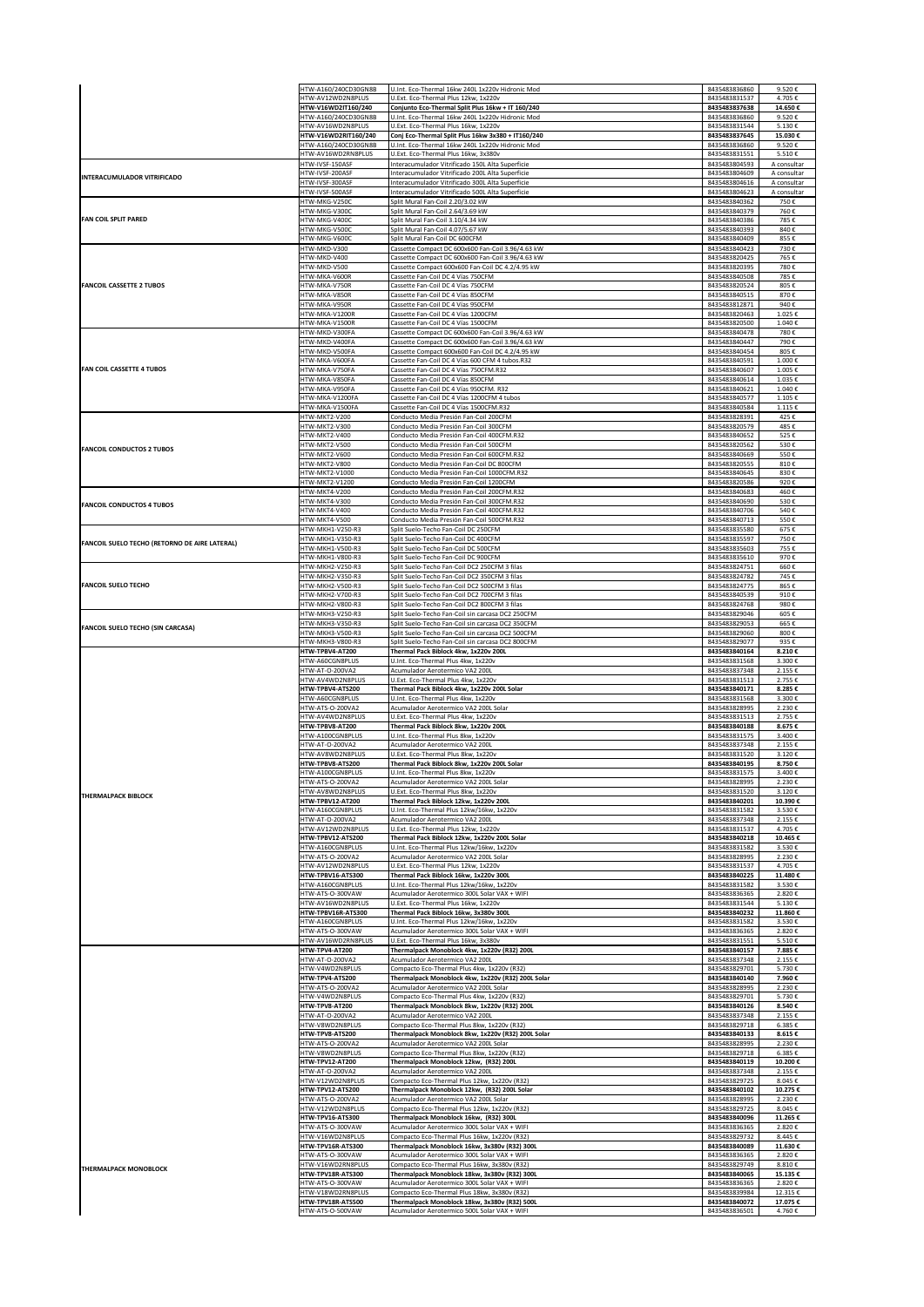|                                               | HTW-A160/240CD30GN8B                      | U.Int. Eco-Thermal 16kw 240L 1x220v Hidronic Mod                                                       | 8435483836860                  | 9.520€                |
|-----------------------------------------------|-------------------------------------------|--------------------------------------------------------------------------------------------------------|--------------------------------|-----------------------|
|                                               | HTW-AV12WD2N8PLUS<br>HTW-V16WD2IT160/240  | U.Ext. Eco-Thermal Plus 12kw. 1x220v<br>Conjunto Eco-Thermal Split Plus 16kw + IT 160/240              | 8435483831537<br>8435483837638 | 4.705€<br>14.650€     |
|                                               | HTW-A160/240CD30GN8B                      | U.Int. Eco-Thermal 16kw 240L 1x220v Hidronic Mod                                                       | 8435483836860                  | 9.520€                |
|                                               | HTW-AV16WD2N8PLUS<br>HTW-V16WD2RIT160/240 | U.Ext. Eco-Thermal Plus 16kw, 1x220v<br>Conj Eco-Thermal Split Plus 16kw 3x380 + IT160/240             | 8435483831544<br>8435483837645 | 5.130€<br>15.030€     |
|                                               | HTW-A160/240CD30GN8B                      | U.Int. Eco-Thermal 16kw 240L 1x220v Hidronic Mod                                                       | 8435483836860                  | 9.520€                |
|                                               | HTW-AV16WD2RN8PLUS<br>HTW-IVSF-150AS      | U.Ext. Eco-Thermal Plus 16kw, 3x380v<br>Interacumulador Vitrificado 150L Alta Superficie               | 8435483831551<br>8435483804593 | 5.510€<br>A consultar |
|                                               | HTW-IVSF-200ASF                           | Interacumulador Vitrificado 200L Alta Superficie                                                       | 8435483804609                  | A consultar           |
| INTERACUMULADOR VITRIFICADO                   | HTW-IVSF-300ASF                           | Interacumulador Vitrificado 300L Alta Superficie                                                       | 8435483804616                  | A consultar           |
|                                               | HTW-IVSF-500ASF<br>HTW-MKG-V250C          | Interacumulador Vitrificado 500L Alta Superficie<br>Split Mural Fan-Coil 2.20/3.02 kW                  | 8435483804623<br>8435483840362 | A consultar<br>750€   |
| <b>FAN COIL SPLIT PARED</b>                   | HTW-MKG-V300C                             | Split Mural Fan-Coil 2.64/3.69 kW                                                                      | 8435483840379                  | 760€                  |
|                                               | HTW-MKG-V400C<br>HTW-MKG-V500C            | Split Mural Fan-Coil 3.10/4.34 kW<br>Split Mural Fan-Coil 4.07/5.67 kW                                 | 8435483840386<br>8435483840393 | 785€<br>840€          |
|                                               | HTW-MKG-V6000                             | Split Mural Fan-Coil DC 600CFM                                                                         | 8435483840409                  | 855€                  |
|                                               | HTW-MKD-V300                              | Cassette Compact DC 600x600 Fan-Coil 3.96/4.63 kW                                                      | 8435483840423                  | 730€                  |
|                                               | HTW-MKD-V400<br>HTW-MKD-V500              | Cassette Compact DC 600x600 Fan-Coil 3.96/4.63 kW<br>Cassette Compact 600x600 Fan-Coil DC 4.2/4.95 kW  | 8435483820425<br>8435483820395 | 765€<br>780€          |
|                                               | HTW-MKA-V600R                             | Cassette Fan-Coil DC 4 Vías 750CFM                                                                     | 8435483840508                  | 785€                  |
| <b>FANCOIL CASSETTE 2 TUBOS</b>               | HTW-MKA-V750R<br>HTW-MKA-V850R            | Cassette Fan-Coil DC 4 Vías 750CFM<br>Cassette Fan-Coil DC 4 Vías 850CFM                               | 8435483820524<br>8435483840515 | 805€<br>870€          |
|                                               | HTW-MKA-V950R                             | Cassette Fan-Coil DC 4 Vías 950CFM                                                                     | 8435483812871                  | 940€                  |
|                                               | HTW-MKA-V1200F<br>HTW-MKA-V1500F          | Cassette Fan-Coil DC 4 Vías 1200CFM<br>Cassette Fan-Coil DC 4 Vías 1500CFM                             | 8435483820463<br>8435483820500 | 1.025€<br>1.040€      |
|                                               | HTW-MKD-V300FA                            | Cassette Compact DC 600x600 Fan-Coil 3.96/4.63 kW                                                      | 8435483840478                  | 780€                  |
|                                               | HTW-MKD-V400FA                            | Cassette Compact DC 600x600 Fan-Coil 3.96/4.63 kW                                                      | 8435483840447                  | 790€                  |
|                                               | HTW-MKD-V500FA<br>HTW-MKA-V600FA          | Cassette Compact 600x600 Fan-Coil DC 4.2/4.95 kW<br>Cassette Fan-Coil DC 4 Vías 600 CFM 4 tubos.R32    | 8435483840454<br>8435483840591 | 805€<br>1.000€        |
| <b>FAN COIL CASSETTE 4 TUBOS</b>              | HTW-MKA-V750FA                            | Cassette Fan-Coil DC 4 Vías 750CFM.R32                                                                 | 8435483840607                  | 1.005€                |
|                                               | HTW-MKA-V850FA<br>HTW-MKA-V950FA          | Cassette Fan-Coil DC 4 Vías 850CFM<br>Cassette Fan-Coil DC 4 Vías 950CFM. R32                          | 8435483840614<br>8435483840621 | 1.035€<br>1.040€      |
|                                               | HTW-MKA-V1200FA                           | Cassette Fan-Coil DC 4 Vías 1200CFM 4 tubos                                                            | 8435483840577                  | 1.105€                |
|                                               | HTW-MKA-V1500FA                           | Cassette Fan-Coil DC 4 Vías 1500CFM.R32                                                                | 8435483840584                  | 1.115€                |
|                                               | HTW-MKT2-V200<br>HTW-MKT2-V300            | Conducto Media Presión Fan-Coil 200CFM<br>Conducto Media Presión Fan-Coil 300CFM                       | 8435483828391<br>8435483820579 | 425€<br>485€          |
|                                               | HTW-MKT2-V400                             | Conducto Media Presión Fan-Coil 400CFM.R32                                                             | 8435483840652                  | 525€                  |
| <b>FANCOIL CONDUCTOS 2 TUBOS</b>              | HTW-MKT2-V500<br>HTW-MKT2-V600            | Conducto Media Presión Fan-Coil 500CFM<br>Conducto Media Presión Fan-Coil 600CFM.R32                   | 8435483820562<br>8435483840669 | 530€<br>550€          |
|                                               | HTW-MKT2-V800                             | Conducto Media Presión Fan-Coil DC 800CFM                                                              | 8435483820555                  | 810€                  |
|                                               | HTW-MKT2-V1000<br>HTW-MKT2-V1200          | Conducto Media Presión Fan-Coil 1000CFM.R32<br>Conducto Media Presión Fan-Coil 1200CFM                 | 8435483840645<br>8435483820586 | 830€<br>920€          |
|                                               | HTW-MKT4-V200                             | Conducto Media Presión Fan-Coil 200CFM.R32                                                             | 8435483840683                  | 460€                  |
| <b>FANCOIL CONDUCTOS 4 TUBOS</b>              | HTW-MKT4-V300                             | Conducto Media Presión Fan-Coil 300CFM.R32                                                             | 8435483840690                  | 530€                  |
|                                               | HTW-MKT4-V400<br>HTW-MKT4-V500            | Conducto Media Presión Fan-Coil 400CFM.R32<br>Conducto Media Presión Fan-Coil 500CFM.R32               | 8435483840706<br>8435483840713 | 540€<br>550€          |
|                                               | HTW-MKH1-V250-R3                          | Split Suelo-Techo Fan-Coil DC 250CFM                                                                   | 8435483835580                  | 675€                  |
| FANCOIL SUELO TECHO (RETORNO DE AIRE LATERAL) | HTW-MKH1-V350-R3<br>HTW-MKH1-V500-R3      | Split Suelo-Techo Fan-Coil DC 400CFM<br>Split Suelo-Techo Fan-Coil DC 500CFM                           | 8435483835597<br>8435483835603 | 750€<br>755€          |
|                                               | HTW-MKH1-V800-R3                          | Split Suelo-Techo Fan-Coil DC 900CFM                                                                   | 8435483835610                  | 970€                  |
|                                               | HTW-MKH2-V250-R3                          | Split Suelo-Techo Fan-Coil DC2 250CFM 3 filas                                                          | 8435483824751                  | 660€                  |
| <b>FANCOIL SUELO TECHO</b>                    | HTW-MKH2-V350-R3<br>HTW-MKH2-V500-R3      | Split Suelo-Techo Fan-Coil DC2 350CFM 3 filas<br>Split Suelo-Techo Fan-Coil DC2 500CFM 3 filas         | 8435483824782<br>8435483824775 | 745€<br>865€          |
|                                               | HTW-MKH2-V700-R3                          | Split Suelo-Techo Fan-Coil DC2 700CFM 3 filas                                                          | 8435483840539                  | 910€                  |
|                                               | HTW-MKH2-V800-R3<br>HTW-MKH3-V250-R3      | Split Suelo-Techo Fan-Coil DC2 800CFM 3 filas<br>Split Suelo-Techo Fan-Coil sin carcasa DC2 250CFM     | 8435483824768<br>8435483829046 | 980€<br>605€          |
| <b>FANCOIL SUELO TECHO (SIN CARCASA)</b>      | HTW-MKH3-V350-R3                          | Split Suelo-Techo Fan-Coil sin carcasa DC2 350CFM                                                      | 8435483829053                  | 665€                  |
|                                               | HTW-MKH3-V500-R3<br>HTW-MKH3-V800-R3      | Split Suelo-Techo Fan-Coil sin carcasa DC2 500CFM<br>Split Suelo-Techo Fan-Coil sin carcasa DC2 800CFM | 8435483829060<br>8435483829077 | 800€<br>935€          |
|                                               | HTW-TPBV4-AT200                           | Thermal Pack Biblock 4kw, 1x220v 200L                                                                  | 8435483840164                  | 8.210€                |
|                                               | HTW-A60CGN8PLUS                           | U.Int. Eco-Thermal Plus 4kw, 1x220v                                                                    | 8435483831568                  | 3.300€                |
|                                               | HTW-AT-O-200VA2<br>HTW-AV4WD2N8PLUS       | Acumulador Aerotermico VA2 200L<br>U.Ext. Eco-Thermal Plus 4kw, 1x220v                                 | 8435483837348<br>8435483831513 | 2.155€<br>2.755€      |
|                                               | HTW-TPBV4-ATS200                          | Thermal Pack Biblock 4kw, 1x220v 200L Solar                                                            | 8435483840171                  | 8.285€                |
|                                               | HTW-A60CGN8PLUS<br>HTW-ATS-O-200VA2       | U.Int. Eco-Thermal Plus 4kw, 1x220v<br>Acumulador Aerotermico VA2 200L Solar                           | 8435483831568<br>8435483828995 | 3.300€<br>2.230€      |
|                                               | HTW-AV4WD2N8PLUS                          | U.Ext. Eco-Thermal Plus 4kw, 1x220v                                                                    | 8435483831513                  | 2.755€                |
|                                               | HTW-TPBV8-AT200<br>HTW-A100CGN8PLUS       | Thermal Pack Biblock 8kw, 1x220v 200L<br>U.Int. Eco-Thermal Plus 8kw, 1x220v                           | 8435483840188<br>8435483831575 | 8.675€<br>3.400€      |
|                                               | HTW-AT-O-200VA2                           | Acumulador Aerotermico VA2 200L                                                                        | 8435483837348                  | 2.155€                |
|                                               | HTW-AV8WD2N8PLUS                          | U.Ext. Eco-Thermal Plus 8kw, 1x220v                                                                    | 8435483831520                  | 3.120€                |
|                                               | HTW-TPBV8-ATS200<br>HTW-A100CGN8PLUS      | Thermal Pack Biblock 8kw, 1x220v 200L Solar<br>U.Int. Eco-Thermal Plus 8kw, 1x220v                     | 8435483840195<br>8435483831575 | 8.750€<br>3.400€      |
|                                               | HTW-ATS-O-200VA2                          | Acumulador Aerotermico VA2 200L Solar                                                                  | 8435483828995                  | $2.230$ 6             |
| <b>THERMALPACK BIBLOCK</b>                    | HTW-AV8WD2N8PLUS<br>HTW-TPBV12-AT200      | U.Ext. Eco-Thermal Plus 8kw, 1x220v<br>Thermal Pack Biblock 12kw, 1x220v 200L                          | 8435483831520<br>8435483840201 | 3.120€<br>10.390€     |
|                                               | HTW-A160CGN8PLUS                          | U.Int. Eco-Thermal Plus 12kw/16kw, 1x220v                                                              | 8435483831582                  | 3.530€                |
|                                               | HTW-AT-O-200VA2<br>HTW-AV12WD2N8PLUS      | Acumulador Aerotermico VA2 200L<br>U.Ext. Eco-Thermal Plus 12kw, 1x220v                                | 8435483837348<br>8435483831537 | 2.155€<br>4.705€      |
|                                               | HTW-TPBV12-ATS200                         | Thermal Pack Biblock 12kw, 1x220v 200L Solar                                                           | 8435483840218                  | 10.465€               |
|                                               | HTW-A160CGN8PLUS                          | U.Int. Eco-Thermal Plus 12kw/16kw, 1x220v                                                              | 8435483831582                  | 3.530€                |
|                                               | HTW-ATS-O-200VA2<br>HTW-AV12WD2N8PLUS     | Acumulador Aerotermico VA2 200L Solar<br>U.Ext. Eco-Thermal Plus 12kw, 1x220v                          | 8435483828995<br>8435483831537 | 2.230€<br>4.705€      |
|                                               | HTW-TPBV16-ATS300                         | Thermal Pack Biblock 16kw, 1x220v 300L                                                                 | 8435483840225                  | 11.480€               |
|                                               | HTW-A160CGN8PLUS<br>HTW-ATS-O-300VAW      | U.Int. Eco-Thermal Plus 12kw/16kw, 1x220v<br>Acumulador Aerotermico 300L Solar VAX + WIFI              | 8435483831582<br>8435483836365 | 3.530€<br>2.820€      |
|                                               | HTW-AV16WD2N8PLUS                         | U.Ext. Eco-Thermal Plus 16kw, 1x220v                                                                   | 8435483831544                  | 5.130€                |
|                                               | HTW-TPBV16R-ATS300<br>HTW-A160CGN8PLUS    | Thermal Pack Biblock 16kw, 3x380v 300L<br>U.Int. Eco-Thermal Plus 12kw/16kw, 1x220v                    | 8435483840232<br>8435483831582 | 11.860€<br>3.530€     |
|                                               | HTW-ATS-O-300VAW                          | Acumulador Aerotermico 300L Solar VAX + WIFI                                                           | 8435483836365                  | 2.820€                |
|                                               | HTW-AV16WD2RN8PLUS<br>HTW-TPV4-AT200      | U.Ext. Eco-Thermal Plus 16kw, 3x380v<br>Thermalpack Monoblock 4kw, 1x220v (R32) 200L                   | 8435483831551<br>8435483840157 | 5.510€<br>7.885€      |
|                                               | HTW-AT-O-200VA2                           | Acumulador Aerotermico VA2 200L                                                                        | 8435483837348                  | 2.155€                |
|                                               | HTW-V4WD2N8PLUS                           | Compacto Eco-Thermal Plus 4kw, 1x220v (R32)<br>Thermalpack Monoblock 4kw, 1x220v (R32) 200L Solar      | 8435483829701                  | 5.730€                |
|                                               | HTW-TPV4-ATS200<br>HTW-ATS-O-200VA2       | Acumulador Aerotermico VA2 200L Solar                                                                  | 8435483840140<br>8435483828995 | 7.960€<br>2.230€      |
|                                               | HTW-V4WD2N8PLUS                           | Compacto Eco-Thermal Plus 4kw, 1x220v (R32)                                                            | 8435483829701                  | 5.730€                |
|                                               | HTW-TPV8-AT200<br>HTW-AT-O-200VA2         | Thermalpack Monoblock 8kw, 1x220v (R32) 200L<br>Acumulador Aerotermico VA2 200L                        | 8435483840126<br>8435483837348 | 8.540€<br>2.155€      |
|                                               | HTW-V8WD2N8PLUS                           | Compacto Eco-Thermal Plus 8kw, 1x220v (R32)                                                            | 8435483829718                  | 6.385€                |
|                                               | HTW-TPV8-ATS200<br>HTW-ATS-O-200VA2       | Thermalpack Monoblock 8kw, 1x220v (R32) 200L Solar<br>Acumulador Aerotermico VA2 200L Solar            | 8435483840133<br>8435483828995 | 8.615€<br>2.230€      |
|                                               | HTW-V8WD2N8PLUS                           | Compacto Eco-Thermal Plus 8kw, 1x220v (R32)                                                            | 8435483829718                  | 6.385€                |
|                                               | <b>HTW-TPV12-AT200</b>                    | Thermalpack Monoblock 12kw, (R32) 200L                                                                 | 8435483840119                  | 10.200€               |
|                                               | HTW-AT-O-200VA2<br>HTW-V12WD2N8PLUS       | Acumulador Aerotermico VA2 200L<br>Compacto Eco-Thermal Plus 12kw, 1x220v (R32)                        | 8435483837348<br>8435483829725 | 2.155€<br>8.045€      |
|                                               | HTW-TPV12-ATS200                          | Thermalpack Monoblock 12kw, (R32) 200L Solar                                                           | 8435483840102                  | 10.275€               |
|                                               | HTW-ATS-O-200VA2<br>HTW-V12WD2N8PLUS      | Acumulador Aerotermico VA2 200L Solar<br>Compacto Eco-Thermal Plus 12kw, 1x220v (R32)                  | 8435483828995<br>8435483829725 | 2.230€<br>8.045€      |
|                                               | <b>HTW-TPV16-ATS300</b>                   | Thermalpack Monoblock 16kw, (R32) 300L                                                                 | 8435483840096                  | 11.265€               |
|                                               | HTW-ATS-O-300VAW<br>HTW-V16WD2N8PLUS      | Acumulador Aerotermico 300L Solar VAX + WIFI<br>Compacto Eco-Thermal Plus 16kw, 1x220v (R32)           | 8435483836365<br>8435483829732 | 2.820€<br>8.445€      |
|                                               | HTW-TPV16R-ATS300                         | Thermalpack Monoblock 16kw, 3x380v (R32) 300L                                                          | 8435483840089                  | 11.630€               |
|                                               | HTW-ATS-O-300VAW                          | Acumulador Aerotermico 300L Solar VAX + WIFI                                                           | 8435483836365                  | 2.820€                |
| THERMALPACK MONOBLOCK                         | HTW-V16WD2RN8PLUS<br>HTW-TPV18R-ATS300    | Compacto Eco-Thermal Plus 16kw, 3x380v (R32)<br>Thermalpack Monoblock 18kw, 3x380v (R32) 300L          | 8435483829749<br>8435483840065 | 8.810€<br>15.135€     |
|                                               | HTW-ATS-O-300VAW                          | Acumulador Aerotermico 300L Solar VAX + WIFI                                                           | 8435483836365                  | 2.820€                |
|                                               | HTW-V18WD2RN8PLUS<br>HTW-TPV18R-ATS500    | Compacto Eco-Thermal Plus 18kw, 3x380v (R32)<br>Thermalpack Monoblock 18kw, 3x380v (R32) 500L          | 8435483839984<br>8435483840072 | 12.315€<br>17.075€    |
|                                               | HTW-ATS-O-500VAW                          | Acumulador Aerotermico 500L Solar VAX + WIFI                                                           | 8435483836501                  | 4.760€                |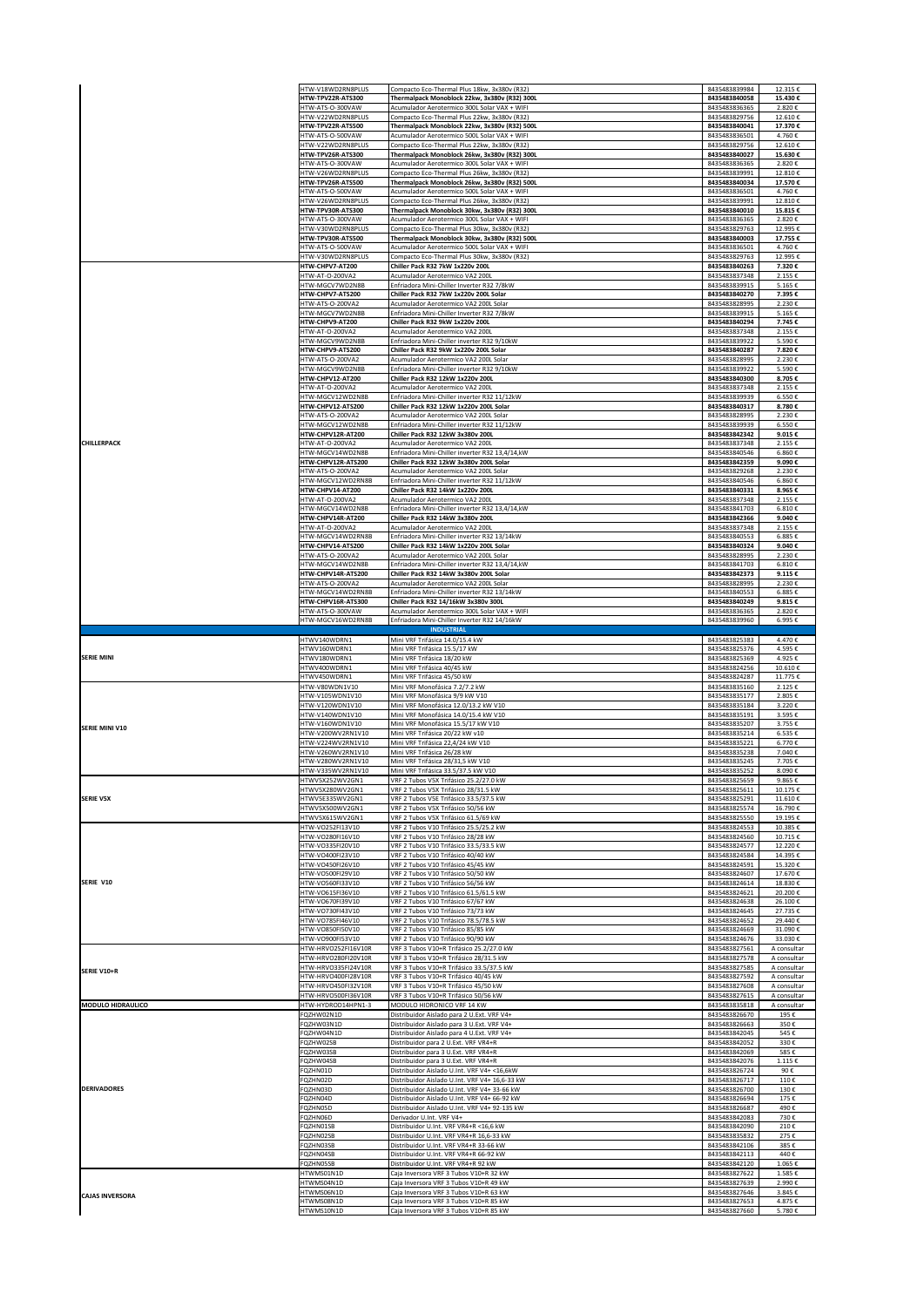|                        | HTW-V18WD2RN8PLUS<br>HTW-TPV22R-ATS300     | Compacto Eco-Thermal Plus 18kw, 3x380v (R32)<br>Thermalpack Monoblock 22kw, 3x380v (R32) 300L  | 8435483839984<br>8435483840058 | 12.315€<br>15.430€         |
|------------------------|--------------------------------------------|------------------------------------------------------------------------------------------------|--------------------------------|----------------------------|
|                        | HTW-ATS-O-300VAW                           | Acumulador Aerotermico 300L Solar VAX + WIFI                                                   | 8435483836365                  | 2.820€                     |
|                        | HTW-V22WD2RN8PLUS                          | Compacto Eco-Thermal Plus 22kw, 3x380v (R32)                                                   | 8435483829756                  | 12.610€                    |
|                        | HTW-TPV22R-ATS500<br>HTW-ATS-O-500VAW      | Thermalpack Monoblock 22kw, 3x380v (R32) 500L<br>Acumulador Aerotermico 500L Solar VAX + WIFI  | 8435483840041<br>8435483836501 | 17.370€<br>4.760€          |
|                        | HTW-V22WD2RN8PLUS                          | Compacto Eco-Thermal Plus 22kw, 3x380v (R32)                                                   | 8435483829756                  | 12.610€                    |
|                        | HTW-TPV26R-ATS300<br>HTW-ATS-O-300VAW      | Thermalpack Monoblock 26kw, 3x380v (R32) 300L<br>Acumulador Aerotermico 300L Solar VAX + WIFI  | 8435483840027<br>8435483836365 | 15.630€<br>2.820€          |
|                        | HTW-V26WD2RN8PLUS                          | Compacto Eco-Thermal Plus 26kw, 3x380v (R32)                                                   | 8435483839991                  | 12.810€                    |
|                        | HTW-TPV26R-ATS500<br>HTW-ATS-O-500VAW      | Thermalpack Monoblock 26kw, 3x380v (R32) 500L<br>Acumulador Aerotermico 500L Solar VAX + WIFI  | 8435483840034<br>8435483836501 | 17.570€<br>4.760€          |
|                        | HTW-V26WD2RN8PLUS                          | Compacto Eco-Thermal Plus 26kw, 3x380v (R32)                                                   | 8435483839991                  | 12.810€                    |
|                        | HTW-TPV30R-ATS300<br>HTW-ATS-O-300VAW      | Thermalpack Monoblock 30kw, 3x380v (R32) 300L<br>Acumulador Aerotermico 300L Solar VAX + WIFI  | 8435483840010<br>8435483836365 | 15.815€<br>2.820€          |
|                        | HTW-V30WD2RN8PLUS                          | Compacto Eco-Thermal Plus 30kw, 3x380v (R32)                                                   | 8435483829763                  | 12.995€                    |
|                        | HTW-TPV30R-ATS500<br>HTW-ATS-O-500VAW      | Thermalpack Monoblock 30kw, 3x380v (R32) 500L<br>Acumulador Aerotermico 500L Solar VAX + WIFI  | 8435483840003<br>8435483836501 | 17.755€<br>4.760€          |
|                        | HTW-V30WD2RN8PLUS                          | Compacto Eco-Thermal Plus 30kw, 3x380v (R32)                                                   | 8435483829763                  | 12.995€                    |
|                        | HTW-CHPV7-AT200<br>HTW-AT-O-200VA2         | Chiller Pack R32 7kW 1x220v 200L<br>Acumulador Aerotermico VA2 200L                            | 8435483840263<br>8435483837348 | 7.320€<br>2.155€           |
|                        | HTW-MGCV7WD2N8B                            | Enfriadora Mini-Chiller Inverter R32 7/8kW                                                     | 8435483839915                  | 5.165€                     |
|                        | HTW-CHPV7-ATS200<br>HTW-ATS-O-200VA2       | Chiller Pack R32 7kW 1x220v 200L Solar<br>Acumulador Aerotermico VA2 200L Solar                | 8435483840270<br>8435483828995 | 7.395€<br>2.230€           |
|                        | HTW-MGCV7WD2N8B                            | Enfriadora Mini-Chiller Inverter R32 7/8kW                                                     | 8435483839915                  | 5.165€                     |
|                        | HTW-CHPV9-AT200<br>HTW-AT-O-200VA2         | Chiller Pack R32 9kW 1x220v 200L<br>Acumulador Aerotermico VA2 200L                            | 8435483840294<br>8435483837348 | 7.745€<br>2.155€           |
|                        | HTW-MGCV9WD2N8B                            | Enfriadora Mini-Chiller inverter R32 9/10kW                                                    | 8435483839922                  | 5.590€                     |
|                        | HTW-CHPV9-ATS200<br>HTW-ATS-O-200VA2       | Chiller Pack R32 9kW 1x220v 200L Solar<br>Acumulador Aerotermico VA2 200L Solar                | 8435483840287<br>8435483828995 | 7.820€<br>2.230€           |
|                        | HTW-MGCV9WD2N8B                            | Enfriadora Mini-Chiller inverter R32 9/10kW                                                    | 8435483839922                  | 5.590€                     |
|                        | HTW-CHPV12-AT200<br>HTW-AT-O-200VA2        | Chiller Pack R32 12kW 1x220v 200L<br>Acumulador Aerotermico VA2 200L                           | 8435483840300<br>8435483837348 | 8.705€<br>2.155€           |
|                        | HTW-MGCV12WD2N8B                           | Enfriadora Mini-Chiller inverter R32 11/12kW                                                   | 8435483839939                  | 6.550€                     |
|                        | HTW-CHPV12-ATS200<br>HTW-ATS-O-200VA2      | Chiller Pack R32 12kW 1x220v 200L Solar<br>Acumulador Aerotermico VA2 200L Solar               | 8435483840317<br>8435483828995 | 8.780€<br>2.230€           |
|                        | HTW-MGCV12WD2N8B                           | Enfriadora Mini-Chiller inverter R32 11/12kW                                                   | 8435483839939                  | 6.550€                     |
| CHILLERPACK            | HTW-CHPV12R-AT200<br>HTW-AT-O-200VA2       | Chiller Pack R32 12kW 3x380v 200L<br>Acumulador Aerotermico VA2 200L                           | 8435483842342<br>8435483837348 | 9.015€<br>2.155€           |
|                        | HTW-MGCV14WD2N8B                           | Enfriadora Mini-Chiller inverter R32 13,4/14,kW                                                | 8435483840546                  | 6.860€                     |
|                        | HTW-CHPV12R-ATS200<br>HTW-ATS-O-200VA2     | Chiller Pack R32 12kW 3x380v 200L Solar<br>Acumulador Aerotermico VA2 200L Solar               | 8435483842359<br>8435483829268 | 9.090€<br>2.230€           |
|                        | HTW-MGCV12WD2RN8B                          | Enfriadora Mini-Chiller inverter R32 11/12kW                                                   | 8435483840546                  | 6.860€                     |
|                        | HTW-CHPV14-AT200<br>HTW-AT-O-200VA2        | Chiller Pack R32 14kW 1x220v 200L<br>Acumulador Aerotermico VA2 200L                           | 8435483840331<br>8435483837348 | 8.965€<br>2.155€           |
|                        | HTW-MGCV14WD2N8B                           | Enfriadora Mini-Chiller inverter R32 13,4/14,kW                                                | 8435483841703                  | 6.810€                     |
|                        | HTW-CHPV14R-AT200<br>HTW-AT-O-200VA2       | Chiller Pack R32 14kW 3x380v 200L<br>Acumulador Aerotermico VA2 200L                           | 8435483842366<br>8435483837348 | 9.040€<br>2.155€           |
|                        | HTW-MGCV14WD2RN8B                          | Enfriadora Mini-Chiller inverter R32 13/14kW                                                   | 8435483840553                  | 6.885€                     |
|                        | HTW-CHPV14-ATS200<br>HTW-ATS-O-200VA2      | Chiller Pack R32 14kW 1x220v 200L Solar<br>Acumulador Aerotermico VA2 200L Solar               | 8435483840324<br>8435483828995 | 9.040€<br>2.230€           |
|                        | HTW-MGCV14WD2N8B                           | Enfriadora Mini-Chiller inverter R32 13,4/14,kW                                                | 8435483841703                  | 6.810€                     |
|                        | HTW-CHPV14R-ATS200<br>ITW-ATS-O-200VA2     | Chiller Pack R32 14kW 3x380v 200L Solar<br>Acumulador Aerotermico VA2 200L Solar               | 8435483842373<br>8435483828995 | 9.115€<br>2.230€           |
|                        | HTW-MGCV14WD2RN8B                          | Enfriadora Mini-Chiller inverter R32 13/14kW                                                   | 8435483840553                  | 6.885€                     |
|                        | HTW-CHPV16R-ATS300<br>ITW-ATS-O-300VAW     | Chiller Pack R32 14/16kW 3x380v 300L<br>Acumulador Aerotermico 300L Solar VAX + WIFI           | 8435483840249<br>8435483836365 | 9.815€<br>2.820€           |
|                        | HTW-MGCV16WD2RN8B                          | Enfriadora Mini-Chiller Inverter R32 14/16kW                                                   | 8435483839960                  | 6.995€                     |
|                        | HTWV140WDRN1                               | <b>INDUSTRIAL</b><br>Mini VRF Trifásica 14.0/15.4 kW                                           | 8435483825383                  | 4.470€                     |
|                        | HTWV160WDRN1                               | Mini VRF Trifásica 15.5/17 kW                                                                  | 8435483825376                  | 4.595€                     |
| <b>SERIE MINI</b>      | HTWV180WDRN1<br>HTWV400WDRN1               | Mini VRF Trifásica 18/20 kW<br>Mini VRF Trifásica 40/45 kW                                     | 8435483825369<br>8435483824256 | 4.925€<br>10.610€          |
|                        | HTWV450WDRN1                               | Mini VRF Trifásica 45/50 kW                                                                    | 8435483824287                  | 11.775€                    |
|                        |                                            |                                                                                                |                                |                            |
|                        | HTW-V80WDN1V10                             | Mini VRF Monofásica 7.2/7.2 kW                                                                 | 8435483835160                  | 2.125€                     |
|                        | HTW-V105WDN1V10<br>HTW-V120WDN1V10         | Mini VRF Monofásica 9/9 kW V10<br>Mini VRF Monofásica 12.0/13.2 kW V10                         | 8435483835177<br>8435483835184 | 2.805€<br>3.220€           |
|                        | HTW-V140WDN1V10<br>HTW-V160WDN1V10         | Mini VRF Monofásica 14.0/15.4 kW V10                                                           | 8435483835191<br>8435483835207 | 3.595€<br>3.755€           |
| SERIE MINI V10         | HTW-V200WV2RN1V10                          | Mini VRF Monofásica 15.5/17 kW V10<br>Mini VRF Trifásica 20/22 kW v10                          | 8435483835214                  | 6.535€                     |
|                        | HTW-V224WV2RN1V10<br>HTW-V260WV2RN1V10     | Mini VRF Trifásica 22,4/24 kW V10<br>Mini VRF Trifásica 26/28 kW                               | 8435483835221<br>8435483835238 | 6.770€<br>7.040€           |
|                        | HTW-V280WV2RN1V10                          | Mini VRF Trifásica 28/31,5 kW V10                                                              | 8435483835245                  | 7.705€                     |
|                        | HTW-V335WV2RN1V10<br>HTWV5X252WV2GN1       | Mini VRF Trifásica 33.5/37.5 kW V10                                                            | 8435483835252<br>8435483825659 | 8.090€<br>9.865€           |
|                        | HTWV5X280WV2GN1                            | VRF 2 Tubos V5X Trifásico 25.2/27.0 kW<br>VRF 2 Tubos V5X Trifásico 28/31.5 kW                 | 8435483825611                  | 10.175€                    |
| <b>SERIE V5X</b>       | HTWV5E335WV2GN1<br>HTWV5X500WV2GN1         | VRF 2 Tubos V5E Trifásico 33.5/37.5 kW<br>VRF 2 Tubos V5X Trifásico 50/56 kW                   | 8435483825291<br>8435483825574 | 11.610€<br>16.790€         |
|                        | HTWV5X615WV2GN1                            | VRF 2 Tubos V5X Trifásico 61.5/69 kW                                                           | 8435483825550                  | 19.195€                    |
|                        | HTW-VO252FI13V10<br>HTW-VO280FI16V10       | VRF 2 Tubos V10 Trifásico 25.5/25.2 kW                                                         | 8435483824553                  | 10.385€<br>10.715€         |
|                        | HTW-VO335FI20V10                           | VRF 2 Tubos V10 Trifásico 28/28 kW<br>VRF 2 Tubos V10 Trifásico 33.5/33.5 kW                   | 8435483824560<br>8435483824577 | 12.220€                    |
|                        | HTW-VO400FI23V10<br>HTW-VO450FI26V10       | VRF 2 Tubos V10 Trifásico 40/40 kW<br>VRF 2 Tubos V10 Trifásico 45/45 kW                       | 8435483824584<br>8435483824591 | 14.395€<br>15.320€         |
|                        | HTW-VO500FI29V10                           | VRF 2 Tubos V10 Trifásico 50/50 kW                                                             | 8435483824607                  | 17.670€                    |
| SERIE V10              | HTW-VO560FI33V10<br>HTW-VO615FI36V10       | VRF 2 Tubos V10 Trifásico 56/56 kW<br>VRF 2 Tubos V10 Trifásico 61.5/61.5 kW                   | 8435483824614<br>8435483824621 | 18.830€<br>20.200€         |
|                        | HTW-VO670FI39V10                           | VRF 2 Tubos V10 Trifásico 67/67 kW                                                             | 8435483824638                  | 26.100€                    |
|                        | HTW-VO730FI43V10<br>HTW-VO785FI46V10       | VRF 2 Tubos V10 Trifásico 73/73 kW<br>VRF 2 Tubos V10 Trifásico 78.5/78.5 kW                   | 8435483824645<br>8435483824652 | 27.735€<br>29.440€         |
|                        | HTW-VO850FI50V10                           | VRF 2 Tubos V10 Trifásico 85/85 kW                                                             | 8435483824669                  | 31.090€                    |
|                        | HTW-VO900FI53V10<br>HTW-HRVO252FI16V10R    | VRF 2 Tubos V10 Trifásico 90/90 kW<br>VRF 3 Tubos V10+R Trifásico 25.2/27.0 kW                 | 8435483824676<br>8435483827561 | 33.030€<br>A consultar     |
|                        | HTW-HRVO280FI20V10R                        | VRF 3 Tubos V10+R Trifásico 28/31.5 kW                                                         | 8435483827578                  | A consultar                |
| SERIE V10+R            | HTW-HRVO335FI24V10R<br>HTW-HRVO400FI28V10R | VRF 3 Tubos V10+R Trifásico 33.5/37.5 kW<br>VRF 3 Tubos V10+R Trifásico 40/45 kW               | 8435483827585<br>8435483827592 | A consultar<br>A consultar |
|                        | HTW-HRVO450FI32V10R                        | VRF 3 Tubos V10+R Trifásico 45/50 kW                                                           | 8435483827608                  | A consultar                |
| MODULO HIDRAULICO      | HTW-HRVO500FI36V10R<br>HTW-HYDROD14HPN1-3  | VRF 3 Tubos V10+R Trifásico 50/56 kW<br>MODULO HIDRONICO VRF 14 KW                             | 8435483827615<br>8435483835818 | A consultar<br>A consultar |
|                        | FQZHW02N1D                                 | Distribuidor Aislado para 2 U.Ext. VRF V4+                                                     | 8435483826670                  | 195€                       |
|                        | FQZHW03N1D<br>FQZHW04N1D                   | Distribuidor Aislado para 3 U.Ext. VRF V4+<br>Distribuidor Aislado para 4 U.Ext. VRF V4+       | 8435483826663<br>8435483842045 | 350€<br>545€               |
|                        | FQZHW02SB                                  | Distribuidor para 2 U.Ext. VRF VR4+R                                                           | 8435483842052                  | 330€                       |
|                        | FQZHW03SB<br>FQZHW04SB                     | Distribuidor para 3 U.Ext. VRF VR4+R<br>Distribuidor para 3 U.Ext. VRF VR4+R                   | 8435483842069<br>8435483842076 | 585€<br>1.115€             |
|                        | FQZHN01D                                   | Distribuidor Aislado U.Int. VRF V4+ <16,6kW                                                    | 8435483826724                  | 90€                        |
| <b>DERIVADORES</b>     | FQZHN02D<br>FQZHN03D                       | Distribuidor Aislado U.Int. VRF V4+ 16,6-33 kW<br>Distribuidor Aislado U.Int. VRF V4+ 33-66 kW | 8435483826717<br>8435483826700 | 110€<br>130€               |
|                        | FQZHN04D<br>FQZHN05D                       | Distribuidor Aislado U.Int. VRF V4+ 66-92 kW<br>Distribuidor Aislado U.Int. VRF V4+ 92-135 kW  | 8435483826694<br>8435483826687 | 175€<br>490€               |
|                        | FQZHN06D                                   | Derivador U.Int. VRF V4+                                                                       | 8435483842083                  | 730€                       |
|                        | FQZHN01SB                                  | Distribuidor U.Int. VRF VR4+R <16,6 kW                                                         | 8435483842090                  | 210€                       |
|                        | FQZHN02SB<br>FQZHN03SB                     | Distribuidor U.Int. VRF VR4+R 16,6-33 kW<br>Distribuidor U.Int. VRF VR4+R 33-66 kW             | 8435483835832<br>8435483842106 | 275€<br>385€               |
|                        | FQZHN04SB<br>FQZHN05SB                     | Distribuidor U.Int. VRF VR4+R 66-92 kW<br>Distribuidor U.Int. VRF VR4+R 92 kW                  | 8435483842113<br>8435483842120 | 440€<br>1.065€             |
|                        | HTWMS01N1D                                 | Caja Inversora VRF 3 Tubos V10+R 32 kW                                                         | 8435483827622                  | 1.585€                     |
|                        | HTWMS04N1D<br>HTWMS06N1D                   | Caja Inversora VRF 3 Tubos V10+R 49 kW<br>Caja Inversora VRF 3 Tubos V10+R 63 kW               | 8435483827639<br>8435483827646 | 2.990€<br>3.845€           |
| <b>CAJAS INVERSORA</b> | HTWMS08N1D<br>HTWMS10N1D                   | Caja Inversora VRF 3 Tubos V10+R 85 kW<br>Caja Inversora VRF 3 Tubos V10+R 85 kW               | 8435483827653<br>8435483827660 | 4.875€<br>5.780€           |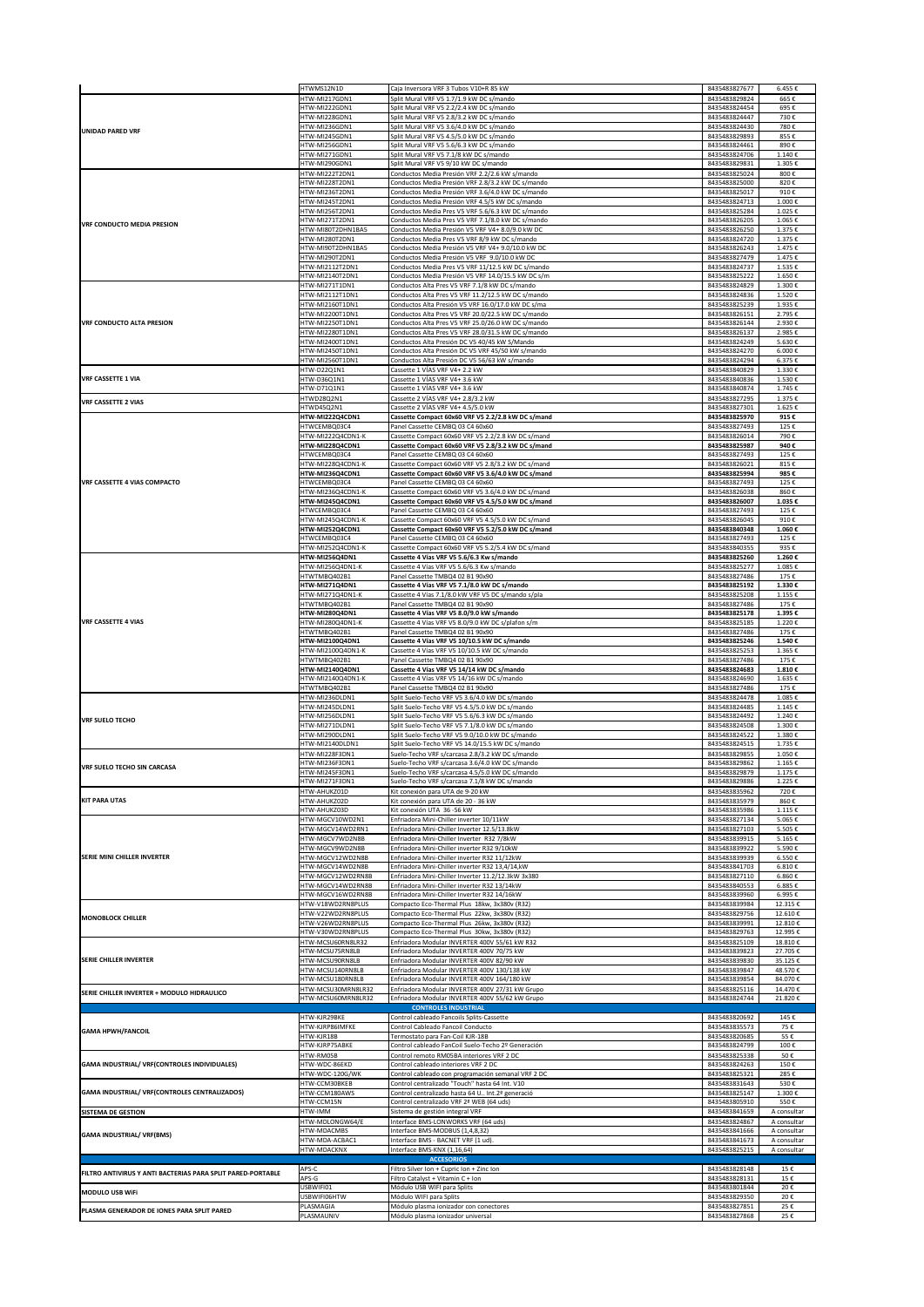|                                                             | HTWMS12N1D                               | Caja Inversora VRF 3 Tubos V10+R 85 kW                                                                   | 8435483827677                  | 6.455€                     |
|-------------------------------------------------------------|------------------------------------------|----------------------------------------------------------------------------------------------------------|--------------------------------|----------------------------|
| <b>UNIDAD PARED VRF</b>                                     | ITW-MI217GDN1                            | Split Mural VRF V5 1.7/1.9 kW DC s/mando                                                                 | 8435483829824                  | 665€                       |
|                                                             | HTW-MI222GDN1<br>HTW-MI228GDN1           | Split Mural VRF V5 2.2/2.4 kW DC s/mando<br>Split Mural VRF V5 2.8/3.2 kW DC s/mando                     | 8435483824454<br>8435483824447 | 695€<br>730€               |
|                                                             | HTW-MI236GDN1                            | Split Mural VRF V5 3.6/4.0 kW DC s/mando                                                                 | 8435483824430                  | 780€                       |
|                                                             | HTW-MI245GDN1<br>HTW-MI256GDN1           | Split Mural VRF V5 4.5/5.0 kW DC s/mando<br>Split Mural VRF V5 5.6/6.3 kW DC s/mando                     | 8435483829893<br>8435483824461 | 855€<br>890€               |
|                                                             | HTW-MI271GDN1                            | Split Mural VRF V5 7.1/8 kW DC s/mando                                                                   | 8435483824706                  | 1.140€                     |
|                                                             | HTW-MI290GDN1<br>HTW-MI222T2DN1          | Split Mural VRF V5 9/10 kW DC s/mando<br>Conductos Media Presión VRF 2.2/2.6 kW s/mando                  | 8435483829831<br>8435483825024 | 1.305€<br>800€             |
| VRF CONDUCTO MEDIA PRESION                                  | HTW-MI228T2DN1                           | Conductos Media Presión VRF 2.8/3.2 kW DC s/mando                                                        | 8435483825000                  | 820€                       |
|                                                             | HTW-MI236T2DN1<br>HTW-MI245T2DN1         | Conductos Media Presión VRF 3.6/4.0 kW DC s/mando<br>Conductos Media Presión VRF 4.5/5 kW DC s/mando     | 8435483825017<br>8435483824713 | 910€<br>1.000€             |
|                                                             | HTW-MI256T2DN1                           | Conductos Media Pres V5 VRF 5.6/6.3 kW DC s/mando                                                        | 8435483825284                  | 1.025€                     |
|                                                             | HTW-MI271T2DN1<br>HTW-MI80T2DHN1BA5      | Conductos Media Pres V5 VRF 7.1/8.0 kW DC s/mando<br>Conductos Media Presión V5 VRF V4+ 8.0/9.0 kW DC    | 8435483826205<br>8435483826250 | 1.065€<br>1.375€           |
|                                                             | HTW-MI280T2DN1                           | Conductos Media Pres V5 VRF 8/9 kW DC s/mando                                                            | 8435483824720                  | 1.375€                     |
|                                                             | HTW-MI90T2DHN1BA5<br>HTW-MI290T2DN1      | Conductos Media Presión V5 VRF V4+ 9.0/10.0 kW DC<br>Conductos Media Presión V5 VRF 9.0/10.0 kW DC       | 8435483826243<br>8435483827479 | 1.475€<br>1.475€           |
|                                                             | HTW-MI2112T2DN1                          | Conductos Media Pres V5 VRF 11/12.5 kW DC s/mando                                                        | 8435483824737                  | 1.535€                     |
|                                                             | TW-MI2140T2DN1<br>HTW-MI271T1DN1         | Conductos Media Presión V5 VRF 14.0/15.5 kW DC s/m<br>Conductos Alta Pres V5 VRF 7.1/8 kW DC s/mando     | 8435483825222<br>8435483824829 | 1.650€<br>1.300€           |
|                                                             | HTW-MI2112T1DN1                          | Conductos Alta Pres V5 VRF 11.2/12.5 kW DC s/mando                                                       | 8435483824836                  | 1.520€                     |
|                                                             | HTW-MI2160T1DN1<br>HTW-MI2200T1DN1       | Conductos Alta Presión V5 VRF 16.0/17.0 kW DC s/ma<br>Conductos Alta Pres V5 VRF 20.0/22.5 kW DC s/mando | 8435483825239<br>8435483826151 | 1.935€<br>2.795€           |
| <b>VRF CONDUCTO ALTA PRESION</b>                            | HTW-MI2250T1DN1                          | Conductos Alta Pres V5 VRF 25.0/26.0 kW DC s/mando                                                       | 8435483826144                  | 2.930€                     |
|                                                             | HTW-MI2280T1DN1<br>HTW-MI2400T1DN1       | Conductos Alta Pres V5 VRF 28.0/31.5 kW DC s/mando<br>Conductos Alta Presión DC V5 40/45 kW S/Mando      | 8435483826137<br>8435483824249 | 2.985€<br>5.630€           |
|                                                             | HTW-MI2450T1DN1                          | Conductos Alta Presión DC V5 VRF 45/50 kW s/mando                                                        | 8435483824270                  | 6.000€                     |
|                                                             | HTW-MI2560T1DN1<br>HTW-D22Q1N1           | Conductos Alta Presión DC V5 56/63 kW s/mando<br>Cassette 1 VÍAS VRF V4+ 2.2 kW                          | 8435483824294<br>8435483840829 | 6.375€<br>1.330€           |
| <b>VRF CASSETTE 1 VIA</b>                                   | HTW-D36Q1N1                              | Cassette 1 VÍAS VRF V4+ 3.6 kW                                                                           | 8435483840836                  | 1.530€                     |
|                                                             | HTW-D71Q1N1<br>HTWD28Q2N1                | Cassette 1 VÍAS VRF V4+ 3.6 kW<br>Cassette 2 VÍAS VRF V4+ 2.8/3.2 kW                                     | 8435483840874<br>8435483827295 | 1.745€<br>1.375€           |
| <b>VRF CASSETTE 2 VIAS</b>                                  | HTWD45Q2N1                               | Cassette 2 VÍAS VRF V4+ 4.5/5.0 kW                                                                       | 8435483827301                  | 1.625€                     |
|                                                             | HTW-MI222Q4CDN1<br>HTWCEMBQ03C4          | Cassette Compact 60x60 VRF V5 2.2/2.8 kW DC s/mand<br>Panel Cassette CEMBQ 03 C4 60x60                   | 8435483825970<br>8435483827493 | 915€<br>125€               |
|                                                             | HTW-MI222Q4CDN1-K                        | Cassette Compact 60x60 VRF V5 2.2/2.8 kW DC s/mand                                                       | 8435483826014                  | 790€                       |
|                                                             | HTW-MI228Q4CDN1<br>HTWCEMBQ03C4          | Cassette Compact 60x60 VRF V5 2.8/3.2 kW DC s/mand<br>Panel Cassette CEMBQ 03 C4 60x60                   | 8435483825987<br>8435483827493 | 940€<br>125€               |
|                                                             | HTW-MI228Q4CDN1-K                        | Cassette Compact 60x60 VRF V5 2.8/3.2 kW DC s/mand                                                       | 8435483826021                  | 815€                       |
| VRF CASSETTE 4 VIAS COMPACTO                                | HTW-MI236Q4CDN1<br>HTWCEMBQ03C4          | Cassette Compact 60x60 VRF V5 3.6/4.0 kW DC s/mand<br>Panel Cassette CEMBQ 03 C4 60x60                   | 8435483825994<br>8435483827493 | 985€<br>125€               |
|                                                             | HTW-MI236Q4CDN1-K                        | Cassette Compact 60x60 VRF V5 3.6/4.0 kW DC s/mand                                                       | 8435483826038                  | 860€                       |
|                                                             | HTW-MI245Q4CDN1<br>HTWCEMBQ03C4          | Cassette Compact 60x60 VRF V5 4.5/5.0 kW DC s/mand<br>Panel Cassette CEMBQ 03 C4 60x60                   | 8435483826007<br>8435483827493 | 1.035€<br>125€             |
|                                                             | HTW-MI245Q4CDN1-K                        | Cassette Compact 60x60 VRF V5 4.5/5.0 kW DC s/mand                                                       | 8435483826045                  | 910€                       |
|                                                             | HTW-MI252Q4CDN1<br>HTWCEMBQ03C4          | Cassette Compact 60x60 VRF V5 5.2/5.0 kW DC s/mand<br>Panel Cassette CEMBQ 03 C4 60x60                   | 8435483840348<br>8435483827493 | 1.060€<br>125€             |
|                                                             | HTW-MI252Q4CDN1-K                        | Cassette Compact 60x60 VRF V5 5.2/5.4 kW DC s/mand                                                       | 8435483840355                  | 935€                       |
|                                                             | HTW-MI256Q4DN1<br>HTW-MI256Q4DN1-K       | Cassette 4 Vías VRF V5 5.6/6.3 Kw s/mando<br>Cassette 4 Vías VRF V5 5.6/6.3 Kw s/mando                   | 8435483825260<br>8435483825277 | 1.260€<br>1.085€           |
|                                                             | HTWTMBQ402B1                             | Panel Cassette TMBQ4 02 B1 90x90                                                                         | 8435483827486                  | 175€                       |
|                                                             | HTW-MI271Q4DN1<br>HTW-MI271Q4DN1-K       | Cassette 4 Vías VRF V5 7.1/8.0 kW DC s/mando<br>Cassette 4 Vías 7.1/8.0 kW VRF V5 DC s/mando s/pla       | 8435483825192<br>8435483825208 | 1.330€<br>1.155€           |
|                                                             | HTWTMBQ402B1                             | Panel Cassette TMBQ4 02 B1 90x90                                                                         | 8435483827486                  | 175€                       |
| <b>VRF CASSETTE 4 VIAS</b>                                  | HTW-MI280Q4DN1<br>HTW-MI280Q4DN1-K       | Cassette 4 Vías VRF V5 8.0/9.0 kW s/mando<br>Cassette 4 Vías VRF V5 8.0/9.0 kW DC s/plafon s/m           | 8435483825178<br>8435483825185 | 1.395€<br>1.220€           |
|                                                             | HTWTMBQ402B1                             | Panel Cassette TMBQ4 02 B1 90x90                                                                         | 8435483827486                  | 175€                       |
|                                                             | HTW-MI2100Q4DN1<br>HTW-MI2100Q4DN1-K     | Cassette 4 Vías VRF V5 10/10.5 kW DC s/mando<br>Cassette 4 Vías VRF V5 10/10.5 kW DC s/mando             | 8435483825246<br>8435483825253 | 1.540€<br>1.365€           |
|                                                             | HTWTMBQ402B1                             | Panel Cassette TMBQ4 02 B1 90x90                                                                         | 8435483827486                  | 175€                       |
|                                                             | HTW-MI2140Q4DN1<br>HTW-MI2140Q4DN1-K     | Cassette 4 Vías VRF V5 14/14 kW DC s/mando<br>Cassette 4 Vías VRF V5 14/16 kW DC s/mando                 | 8435483824683<br>8435483824690 | 1.810€<br>1.635€           |
|                                                             | HTWTMBQ402B1                             | Panel Cassette TMBQ4 02 B1 90x90                                                                         | 8435483827486                  | 175€                       |
|                                                             | HTW-MI236DLDN1<br>HTW-MI245DLDN1         | Split Suelo-Techo VRF V5 3.6/4.0 kW DC s/mando<br>Split Suelo-Techo VRF V5 4.5/5.0 kW DC s/mando         | 8435483824478<br>8435483824485 | 1.085€<br>1.145€           |
| <b>VRF SUELO TECHO</b>                                      | HTW-MI256DLDN1                           | Split Suelo-Techo VRF V5 5.6/6.3 kW DC s/mando                                                           | 8435483824492                  | 1.240€                     |
|                                                             | HTW-MI271DLDN1<br>HTW-MI290DLDN1         | Split Suelo-Techo VRF V5 7.1/8.0 kW DC s/mando<br>Split Suelo-Techo VRF V5 9.0/10.0 kW DC s/mando        | 8435483824508<br>8435483824522 | 1.300€<br>1.380€           |
|                                                             | HTW-MI2140DLDN1                          | Split Suelo-Techo VRF V5 14.0/15.5 kW DC s/mando                                                         | 8435483824515                  | 1.735€                     |
|                                                             | HTW-MI228F3DN1<br>HTW-MI236F3DN1         | Suelo-Techo VRF s/carcasa 2.8/3.2 kW DC s/mando<br>Suelo-Techo VRF s/carcasa 3.6/4.0 kW DC s/mando       | 8435483829855<br>8435483829862 | 1.050€<br>1.165€           |
| <b>VRF SUELO TECHO SIN CARCASA</b>                          | HTW-MI245F3DN1                           | Suelo-Techo VRF s/carcasa 4.5/5.0 kW DC s/mando                                                          | 8435483829879                  | 1.175€                     |
|                                                             | HTW-MI271F3DN1<br>HTW-AHUKZ01D           | Suelo-Techo VRF s/carcasa 7.1/8 kW DC s/mando<br>Kit conexión para UTA de 9-20 kW                        | 8435483829886<br>8435483835962 | 1.225€<br>720€             |
| <b>KIT PARA UTAS</b>                                        | HTW-AHUKZ02D                             | Kit conexión para UTA de 20 - 36 kW                                                                      | 8435483835979                  | 860€                       |
|                                                             | HTW-AHUKZ03D<br>HTW-MGCV10WD2N1          | Kit conexión UTA 36 -56 kW                                                                               | 8435483835986<br>8435483827134 | 1.115f<br>5.065€           |
|                                                             | HTW-MGCV14WD2RN1                         | Enfriadora Mini-Chiller inverter 10/11kW<br>Enfriadora Mini-Chiller Inverter 12.5/13.8kW                 | 8435483827103                  | 5.505€                     |
|                                                             | HTW-MGCV7WD2N8B                          | Enfriadora Mini-Chiller Inverter R32 7/8kW                                                               | 8435483839915                  | 5.165€                     |
| SERIE MINI CHILLER INVERTER                                 | HTW-MGCV9WD2N8B<br>HTW-MGCV12WD2N8B      | Enfriadora Mini-Chiller inverter R32 9/10kW<br>Enfriadora Mini-Chiller inverter R32 11/12kW              | 8435483839922<br>8435483839939 | 5.590€<br>6.550€           |
|                                                             | HTW-MGCV14WD2N8B                         | Enfriadora Mini-Chiller inverter R32 13,4/14,kW<br>Enfriadora Mini-Chiller Inverter 11.2/12.3kW 3x380    | 8435483841703                  | 6.810€                     |
|                                                             | HTW-MGCV12WD2RN8B<br>HTW-MGCV14WD2RN8B   | Enfriadora Mini-Chiller inverter R32 13/14kW                                                             | 8435483827110<br>8435483840553 | 6.860€<br>6.885€           |
|                                                             | HTW-MGCV16WD2RN8B                        | Enfriadora Mini-Chiller Inverter R32 14/16kW                                                             | 8435483839960                  | 6.995€                     |
| <b>MONOBLOCK CHILLER</b>                                    | HTW-V18WD2RN8PLUS<br>HTW-V22WD2RN8PLUS   | Compacto Eco-Thermal Plus 18kw, 3x380v (R32)<br>Compacto Eco-Thermal Plus 22kw, 3x380v (R32)             | 8435483839984<br>8435483829756 | 12.315€<br>12.610€         |
|                                                             | HTW-V26WD2RN8PLUS                        | Compacto Eco-Thermal Plus 26kw, 3x380v (R32)                                                             | 8435483839991                  | 12.810€                    |
|                                                             | HTW-V30WD2RN8PLUS<br>HTW-MCSU60RN8LR32   | Compacto Eco-Thermal Plus 30kw, 3x380v (R32)<br>Enfriadora Modular INVERTER 400V 55/61 kW R32            | 8435483829763<br>8435483825109 | 12.995€<br>18.810€         |
| <b>SERIE CHILLER INVERTER</b>                               | HTW-MCSU75RN8LB<br>HTW-MCSU90RN8LB       | Enfriadora Modular INVERTER 400V 70/75 kW<br>Enfriadora Modular INVERTER 400V 82/90 kW                   | 8435483839823<br>8435483839830 | 27.705€<br>35.125€         |
|                                                             | HTW-MCSU140RN8LB                         | Enfriadora Modular INVERTER 400V 130/138 kW                                                              | 8435483839847                  | 48.570€                    |
|                                                             | HTW-MCSU180RN8LB                         | Enfriadora Modular INVERTER 400V 164/180 kW                                                              | 8435483839854                  | 84.070€                    |
| SERIE CHILLER INVERTER + MODULO HIDRAULICO                  | HTW-MCSU30MRN8LR32<br>HTW-MCSU60MRN8LR32 | Enfriadora Modular INVERTER 400V 27/31 kW Grupo<br>Enfriadora Modular INVERTER 400V 55/62 kW Grupo       | 8435483825116<br>8435483824744 | 14.470€<br>21.820€         |
|                                                             |                                          | <b>CONTROLES INDUSTRIAL</b>                                                                              |                                |                            |
|                                                             | HTW-KJR29BKE<br>HTW-KJRP86IMFKE          | Control cableado Fancoils Splits-Cassette<br>Control Cableado Fancoil Conducto                           | 8435483820692<br>8435483835573 | 145€<br>75€                |
| <b>GAMA HPWH/FANCOIL</b>                                    | HTW-KJR18B                               | Termostato para Fan-Coil KJR-18B                                                                         | 8435483820685                  | 55€                        |
|                                                             | HTW-KJRP75ABKE<br>HTW-RM05B              | Control cableado FanCoil Suelo-Techo 2º Generación<br>Control remoto RM05BA interiores VRF 2 DC          | 8435483824799<br>8435483825338 | 100€<br>50€                |
| GAMA INDUSTRIAL/ VRF(CONTROLES INDIVIDUALES)                | HTW-WDC-86EKD                            | Control cableado interiores VRF 2 DC                                                                     | 8435483824263                  | 150€                       |
|                                                             | HTW-WDC-120G/WK<br>HTW-CCM30BKEB         | Control cableado con programación semanal VRF 2 DC<br>Control centralizado "Touch" hasta 64 Int. V10     | 8435483825321<br>8435483831643 | 285€<br>530€               |
| GAMA INDUSTRIAL/ VRF(CONTROLES CENTRALIZADOS)               | HTW-CCM180AWS                            | Control centralizado hasta 64 U Int.2ª generació                                                         | 8435483825147                  | 1.300€                     |
| <b>SISTEMA DE GESTION</b>                                   | HTW-CCM15N<br>HTW-IMM                    | Control centralizado VRF 2ª WEB (64 uds)<br>Sistema de gestión integral VRF                              | 8435483805910<br>8435483841659 | 550€<br>A consultar        |
|                                                             | HTW-MDLONGW64/E                          | Interface BMS-LONWORKS VRF (64 uds)                                                                      | 8435483824867                  | A consultar                |
| <b>GAMA INDUSTRIAL/ VRF(BMS)</b>                            | HTW-MDACMBS<br>HTW-MDA-ACBAC1            | Interface BMS-MODBUS (1,4,8,32)<br>Interface BMS - BACNET VRF (1 ud)                                     | 8435483841666<br>8435483841673 | A consultar<br>A consultar |
|                                                             | HTW-MDACKNX                              | Interface BMS-KNX (1,16,64)                                                                              | 8435483825215                  | A consultar                |
|                                                             | APS-C                                    | <b>ACCESORIOS</b><br>Filtro Silver Ion + Cupric Ion + Zinc Ion                                           | 8435483828148                  | 15€                        |
| FILTRO ANTIVIRUS Y ANTI BACTERIAS PARA SPLIT PARED-PORTABLE | APS-G                                    | Filtro Catalyst + Vitamin C + Ion                                                                        | 8435483828131                  | 15€                        |
| MODULO USB WiFi                                             | USBWIFI01<br>USBWIFI06HTW                | Módulo USB WIFI para Splits<br>Módulo WIFI para Splits                                                   | 8435483801844<br>8435483829350 | 20€<br>20€                 |
| PLASMA GENERADOR DE IONES PARA SPLIT PARED                  | PLASMAGIA<br>PLASMAUNIV                  | Módulo plasma ionizador con conectores<br>Módulo plasma ionizador universal                              | 8435483827851<br>8435483827868 | 25€<br>25€                 |
|                                                             |                                          |                                                                                                          |                                |                            |